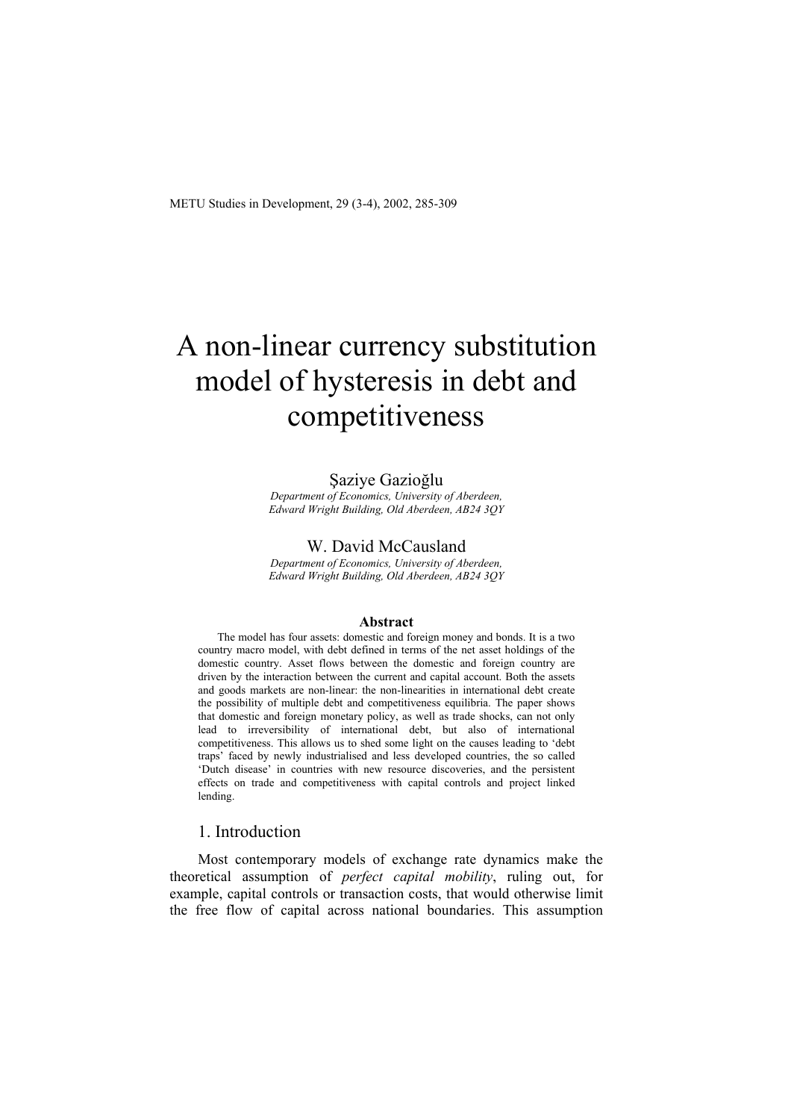# A non-linear currency substitution model of hysteresis in debt and competitiveness

#### Şaziye Gazioğlu

*Department of Economics, University of Aberdeen, Edward Wright Building, Old Aberdeen, AB24 3QY* 

#### W. David McCausland

*Department of Economics, University of Aberdeen, Edward Wright Building, Old Aberdeen, AB24 3QY* 

#### **Abstract**

The model has four assets: domestic and foreign money and bonds. It is a two country macro model, with debt defined in terms of the net asset holdings of the domestic country. Asset flows between the domestic and foreign country are driven by the interaction between the current and capital account. Both the assets and goods markets are non-linear: the non-linearities in international debt create the possibility of multiple debt and competitiveness equilibria. The paper shows that domestic and foreign monetary policy, as well as trade shocks, can not only lead to irreversibility of international debt, but also of international competitiveness. This allows us to shed some light on the causes leading to 'debt traps' faced by newly industrialised and less developed countries, the so called 'Dutch disease' in countries with new resource discoveries, and the persistent effects on trade and competitiveness with capital controls and project linked lending.

## 1. Introduction

Most contemporary models of exchange rate dynamics make the theoretical assumption of *perfect capital mobility*, ruling out, for example, capital controls or transaction costs, that would otherwise limit the free flow of capital across national boundaries. This assumption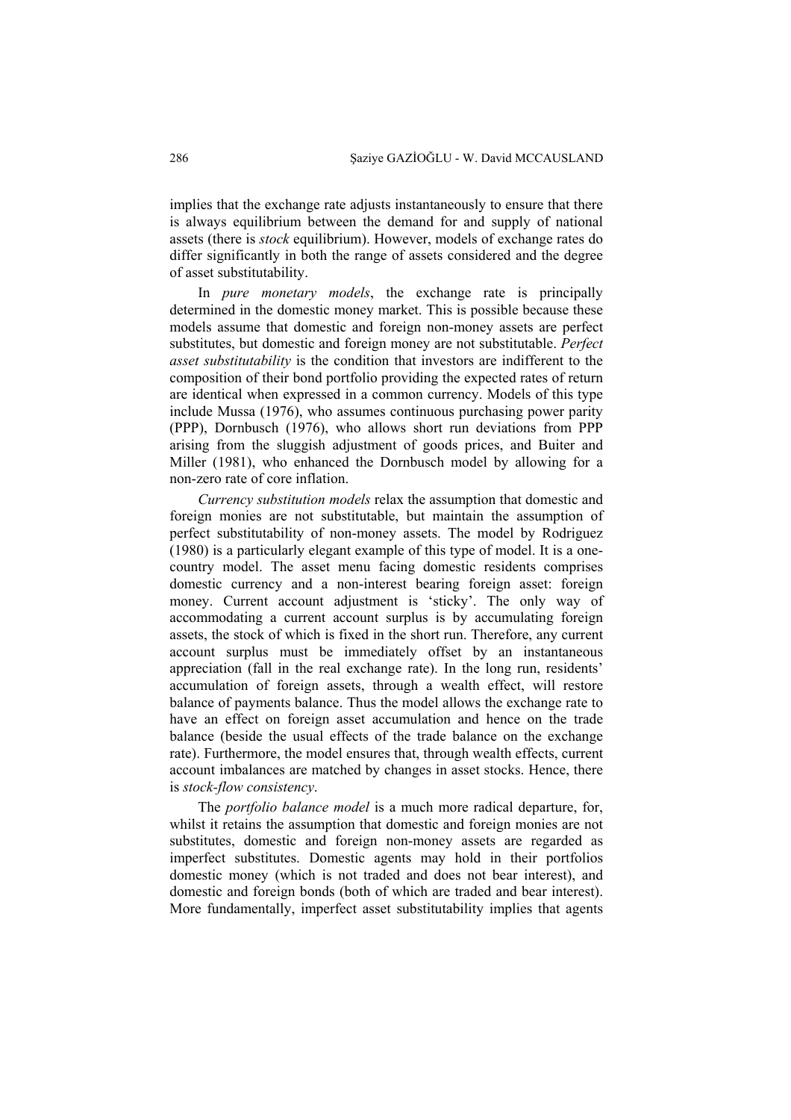implies that the exchange rate adjusts instantaneously to ensure that there is always equilibrium between the demand for and supply of national assets (there is *stock* equilibrium). However, models of exchange rates do differ significantly in both the range of assets considered and the degree of asset substitutability.

In *pure monetary models*, the exchange rate is principally determined in the domestic money market. This is possible because these models assume that domestic and foreign non-money assets are perfect substitutes, but domestic and foreign money are not substitutable. *Perfect asset substitutability* is the condition that investors are indifferent to the composition of their bond portfolio providing the expected rates of return are identical when expressed in a common currency. Models of this type include Mussa (1976), who assumes continuous purchasing power parity (PPP), Dornbusch (1976), who allows short run deviations from PPP arising from the sluggish adjustment of goods prices, and Buiter and Miller (1981), who enhanced the Dornbusch model by allowing for a non-zero rate of core inflation.

*Currency substitution models* relax the assumption that domestic and foreign monies are not substitutable, but maintain the assumption of perfect substitutability of non-money assets. The model by Rodriguez (1980) is a particularly elegant example of this type of model. It is a onecountry model. The asset menu facing domestic residents comprises domestic currency and a non-interest bearing foreign asset: foreign money. Current account adjustment is 'sticky'. The only way of accommodating a current account surplus is by accumulating foreign assets, the stock of which is fixed in the short run. Therefore, any current account surplus must be immediately offset by an instantaneous appreciation (fall in the real exchange rate). In the long run, residents' accumulation of foreign assets, through a wealth effect, will restore balance of payments balance. Thus the model allows the exchange rate to have an effect on foreign asset accumulation and hence on the trade balance (beside the usual effects of the trade balance on the exchange rate). Furthermore, the model ensures that, through wealth effects, current account imbalances are matched by changes in asset stocks. Hence, there is *stock-flow consistency*.

The *portfolio balance model* is a much more radical departure, for, whilst it retains the assumption that domestic and foreign monies are not substitutes, domestic and foreign non-money assets are regarded as imperfect substitutes. Domestic agents may hold in their portfolios domestic money (which is not traded and does not bear interest), and domestic and foreign bonds (both of which are traded and bear interest). More fundamentally, imperfect asset substitutability implies that agents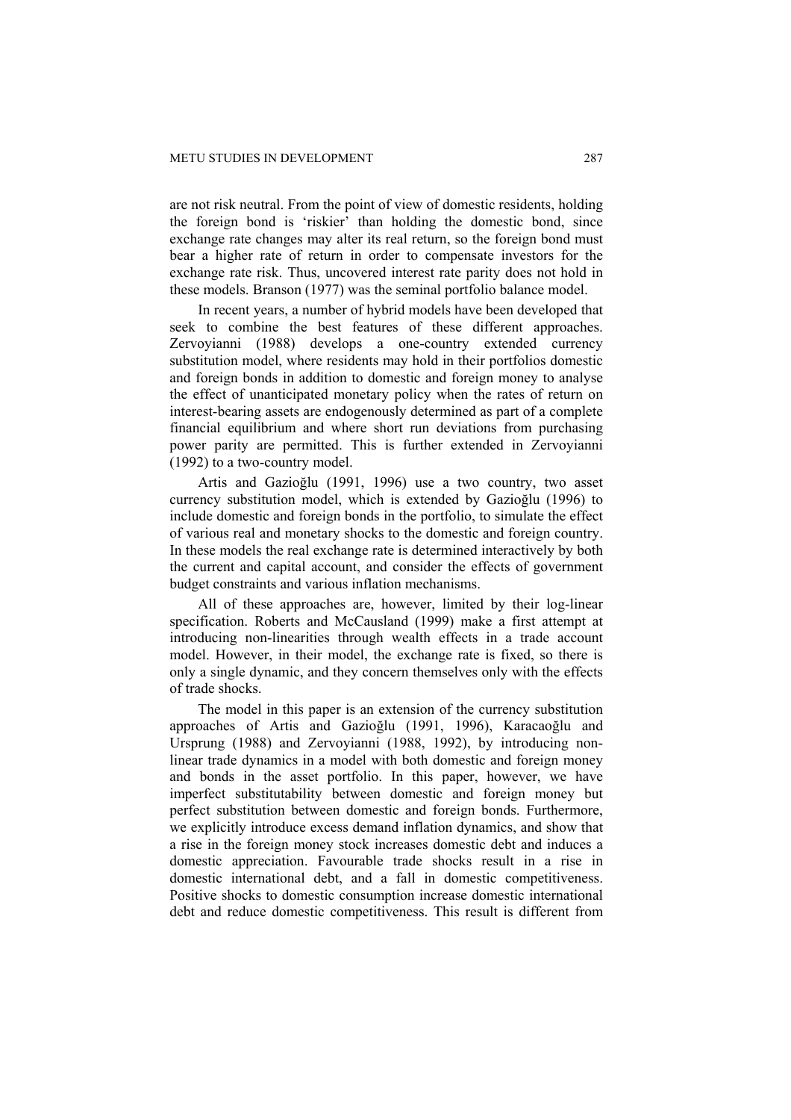are not risk neutral. From the point of view of domestic residents, holding the foreign bond is 'riskier' than holding the domestic bond, since exchange rate changes may alter its real return, so the foreign bond must bear a higher rate of return in order to compensate investors for the exchange rate risk. Thus, uncovered interest rate parity does not hold in these models. Branson (1977) was the seminal portfolio balance model.

In recent years, a number of hybrid models have been developed that seek to combine the best features of these different approaches. Zervoyianni (1988) develops a one-country extended currency substitution model, where residents may hold in their portfolios domestic and foreign bonds in addition to domestic and foreign money to analyse the effect of unanticipated monetary policy when the rates of return on interest-bearing assets are endogenously determined as part of a complete financial equilibrium and where short run deviations from purchasing power parity are permitted. This is further extended in Zervoyianni (1992) to a two-country model.

Artis and Gazioğlu (1991, 1996) use a two country, two asset currency substitution model, which is extended by Gazioğlu (1996) to include domestic and foreign bonds in the portfolio, to simulate the effect of various real and monetary shocks to the domestic and foreign country. In these models the real exchange rate is determined interactively by both the current and capital account, and consider the effects of government budget constraints and various inflation mechanisms.

All of these approaches are, however, limited by their log-linear specification. Roberts and McCausland (1999) make a first attempt at introducing non-linearities through wealth effects in a trade account model. However, in their model, the exchange rate is fixed, so there is only a single dynamic, and they concern themselves only with the effects of trade shocks.

The model in this paper is an extension of the currency substitution approaches of Artis and Gazioğlu (1991, 1996), Karacaoğlu and Ursprung (1988) and Zervoyianni (1988, 1992), by introducing nonlinear trade dynamics in a model with both domestic and foreign money and bonds in the asset portfolio. In this paper, however, we have imperfect substitutability between domestic and foreign money but perfect substitution between domestic and foreign bonds. Furthermore, we explicitly introduce excess demand inflation dynamics, and show that a rise in the foreign money stock increases domestic debt and induces a domestic appreciation. Favourable trade shocks result in a rise in domestic international debt, and a fall in domestic competitiveness. Positive shocks to domestic consumption increase domestic international debt and reduce domestic competitiveness. This result is different from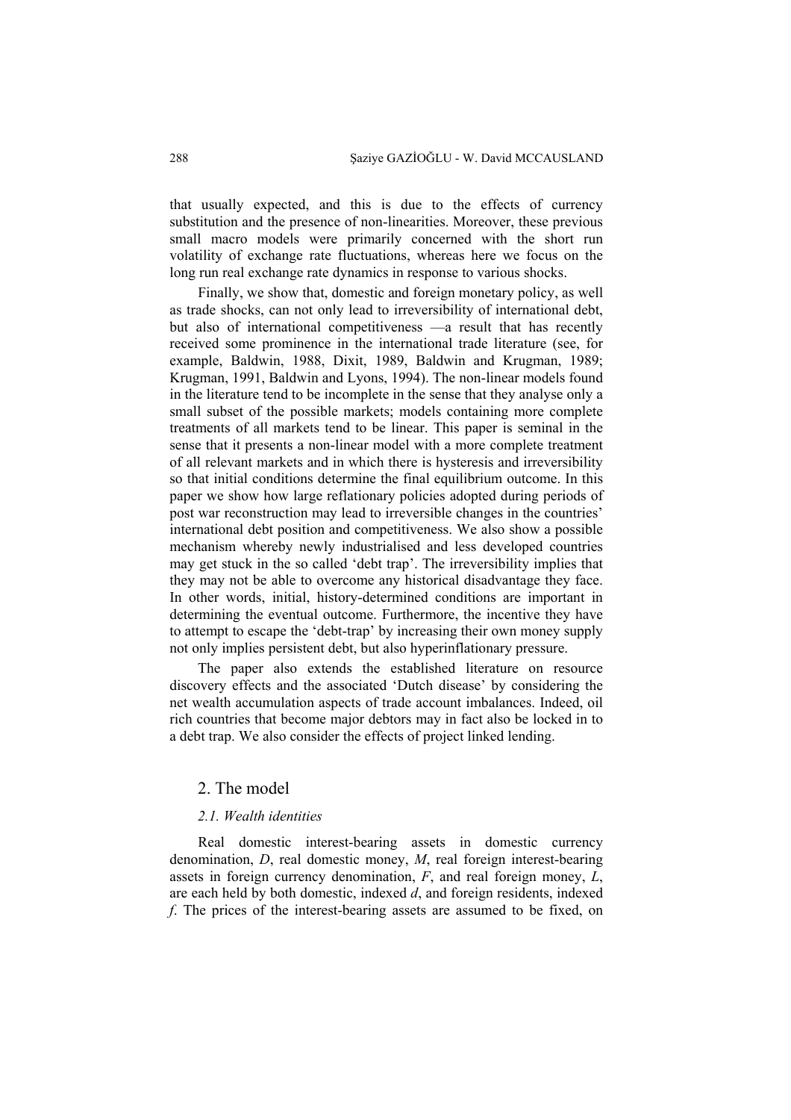that usually expected, and this is due to the effects of currency substitution and the presence of non-linearities. Moreover, these previous small macro models were primarily concerned with the short run volatility of exchange rate fluctuations, whereas here we focus on the long run real exchange rate dynamics in response to various shocks.

Finally, we show that, domestic and foreign monetary policy, as well as trade shocks, can not only lead to irreversibility of international debt, but also of international competitiveness —a result that has recently received some prominence in the international trade literature (see, for example, Baldwin, 1988, Dixit, 1989, Baldwin and Krugman, 1989; Krugman, 1991, Baldwin and Lyons, 1994). The non-linear models found in the literature tend to be incomplete in the sense that they analyse only a small subset of the possible markets; models containing more complete treatments of all markets tend to be linear. This paper is seminal in the sense that it presents a non-linear model with a more complete treatment of all relevant markets and in which there is hysteresis and irreversibility so that initial conditions determine the final equilibrium outcome. In this paper we show how large reflationary policies adopted during periods of post war reconstruction may lead to irreversible changes in the countries' international debt position and competitiveness. We also show a possible mechanism whereby newly industrialised and less developed countries may get stuck in the so called 'debt trap'. The irreversibility implies that they may not be able to overcome any historical disadvantage they face. In other words, initial, history-determined conditions are important in determining the eventual outcome. Furthermore, the incentive they have to attempt to escape the 'debt-trap' by increasing their own money supply not only implies persistent debt, but also hyperinflationary pressure.

The paper also extends the established literature on resource discovery effects and the associated 'Dutch disease' by considering the net wealth accumulation aspects of trade account imbalances. Indeed, oil rich countries that become major debtors may in fact also be locked in to a debt trap. We also consider the effects of project linked lending.

#### 2. The model

#### *2.1. Wealth identities*

Real domestic interest-bearing assets in domestic currency denomination, *D*, real domestic money, *M*, real foreign interest-bearing assets in foreign currency denomination, *F*, and real foreign money, *L*, are each held by both domestic, indexed *d*, and foreign residents, indexed *f*. The prices of the interest-bearing assets are assumed to be fixed, on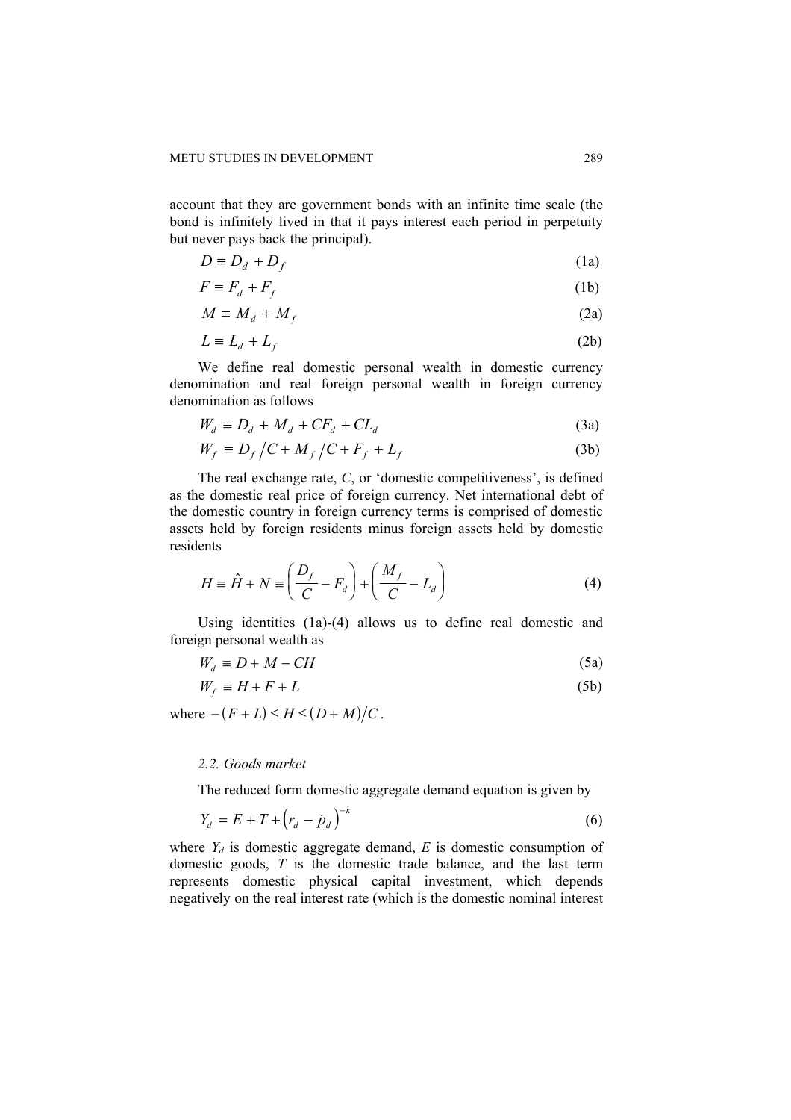account that they are government bonds with an infinite time scale (the bond is infinitely lived in that it pays interest each period in perpetuity but never pays back the principal).

$$
D \equiv D_d + D_f \tag{1a}
$$

$$
F \equiv F_d + F_f \tag{1b}
$$

$$
M \equiv M_d + M_f \tag{2a}
$$

$$
L \equiv L_d + L_f \tag{2b}
$$

We define real domestic personal wealth in domestic currency denomination and real foreign personal wealth in foreign currency denomination as follows

$$
W_d \equiv D_d + M_d + CF_d + CL_d \tag{3a}
$$

$$
W_f \equiv D_f / C + M_f / C + F_f + L_f \tag{3b}
$$

The real exchange rate, *C*, or 'domestic competitiveness', is defined as the domestic real price of foreign currency. Net international debt of the domestic country in foreign currency terms is comprised of domestic assets held by foreign residents minus foreign assets held by domestic residents

$$
H \equiv \hat{H} + N \equiv \left(\frac{D_f}{C} - F_d\right) + \left(\frac{M_f}{C} - L_d\right)
$$
(4)

Using identities (1a)-(4) allows us to define real domestic and foreign personal wealth as

$$
W_d \equiv D + M - CH \tag{5a}
$$

$$
W_f \equiv H + F + L \tag{5b}
$$

where  $-(F + L) \le H \le (D + M)/C$ .

#### *2.2. Goods market*

The reduced form domestic aggregate demand equation is given by

$$
Y_d = E + T + (r_d - \dot{p}_d)^{-k}
$$
 (6)

where  $Y_d$  is domestic aggregate demand,  $E$  is domestic consumption of domestic goods, *T* is the domestic trade balance, and the last term represents domestic physical capital investment, which depends negatively on the real interest rate (which is the domestic nominal interest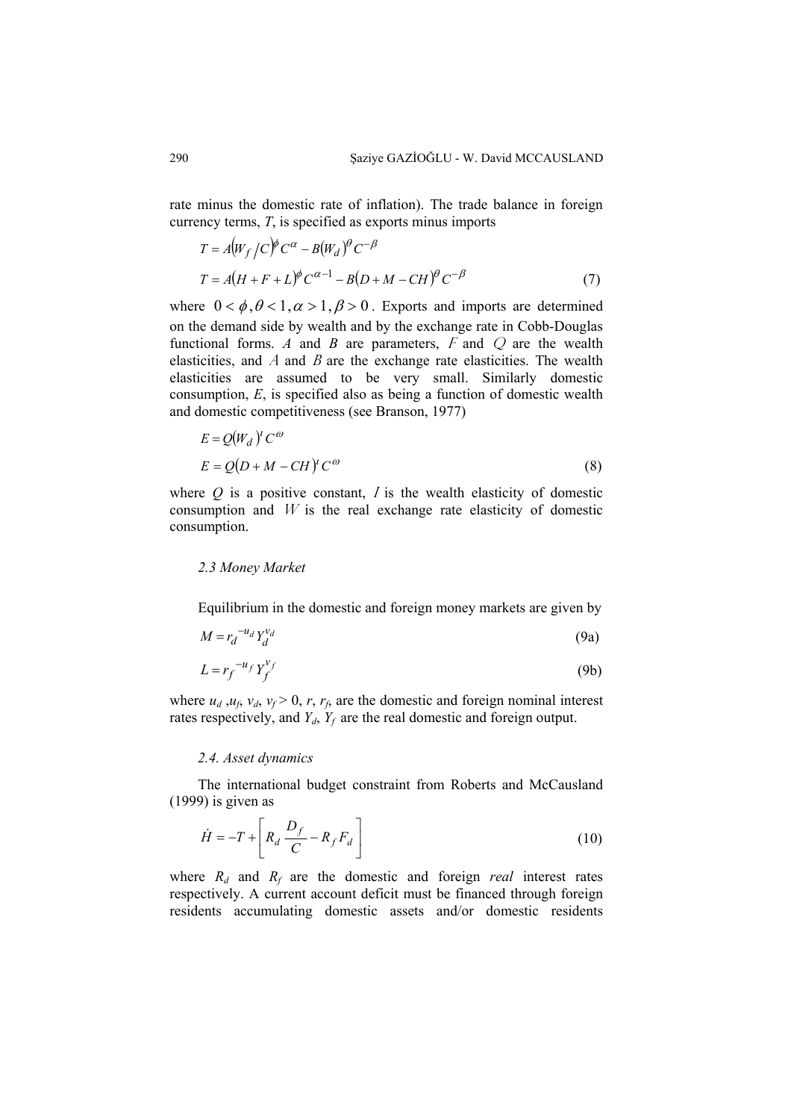rate minus the domestic rate of inflation). The trade balance in foreign currency terms, *T*, is specified as exports minus imports

$$
T = A(W_f/C)^{\phi}C^{\alpha} - B(W_d)^{\theta}C^{-\beta}
$$
  
\n
$$
T = A(H + F + L)^{\phi}C^{\alpha-1} - B(D + M - CH)^{\theta}C^{-\beta}
$$
\n(7)

where  $0 < \phi, \theta < 1, \alpha > 1, \beta > 0$ . Exports and imports are determined on the demand side by wealth and by the exchange rate in Cobb-Douglas functional forms.  $A$  and  $B$  are parameters,  $F$  and  $Q$  are the wealth elasticities, and  $\ddot{A}$  and  $\ddot{B}$  are the exchange rate elasticities. The wealth elasticities are assumed to be very small. Similarly domestic consumption, *E*, is specified also as being a function of domestic wealth and domestic competitiveness (see Branson, 1977)

$$
E = Q(W_d)^t C^{\omega}
$$
  
\n
$$
E = Q(D + M - CH)^t C^{\omega}
$$
\n(8)

where  $Q$  is a positive constant,  $I$  is the wealth elasticity of domestic consumption and  $W$  is the real exchange rate elasticity of domestic consumption.

## *2.3 Money Market*

Equilibrium in the domestic and foreign money markets are given by

$$
M = r_d^{-u_d} Y_d^{v_d} \tag{9a}
$$

$$
L = r_f^{-u_f} Y_f^{\nu_f} \tag{9b}
$$

where  $u_d$ ,  $u_f$ ,  $v_d$ ,  $v_f > 0$ ,  $r$ ,  $r_f$ , are the domestic and foreign nominal interest rates respectively, and  $Y_d$ ,  $Y_f$  are the real domestic and foreign output.

#### *2.4. Asset dynamics*

The international budget constraint from Roberts and McCausland (1999) is given as

$$
\dot{H} = -T + \left[ R_d \frac{D_f}{C} - R_f F_d \right]
$$
\n(10)

where  $R_d$  and  $R_f$  are the domestic and foreign *real* interest rates respectively. A current account deficit must be financed through foreign residents accumulating domestic assets and/or domestic residents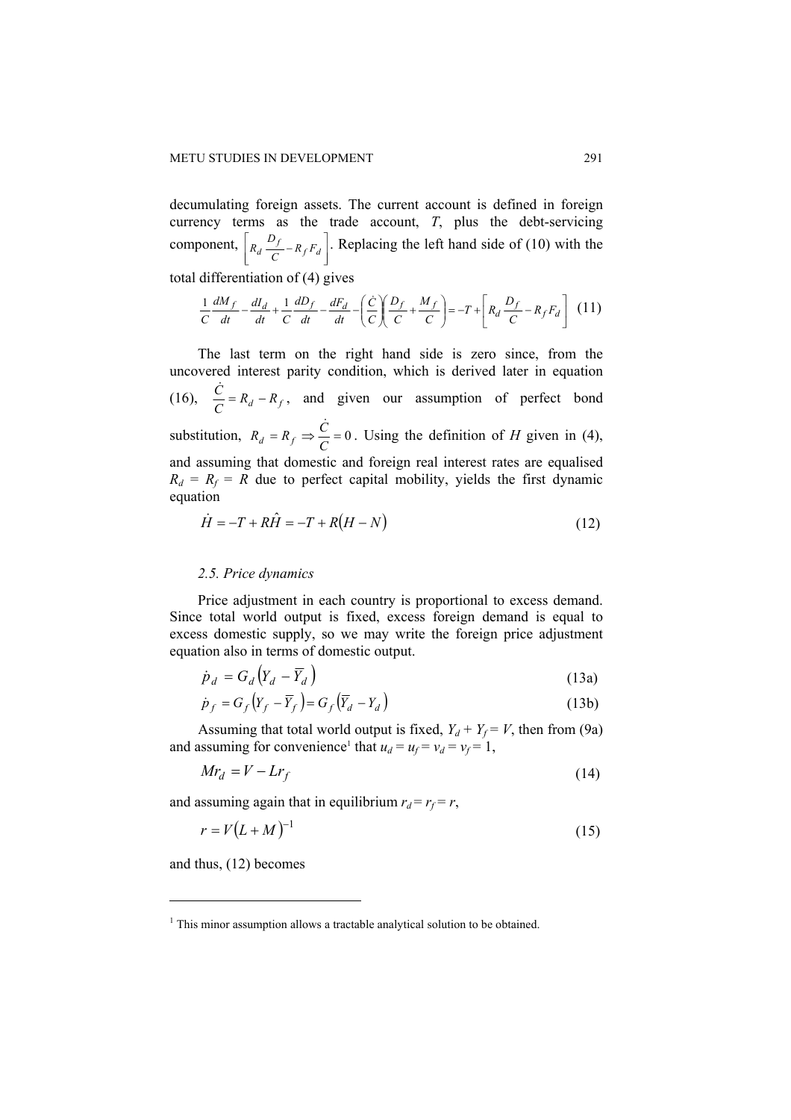decumulating foreign assets. The current account is defined in foreign currency terms as the trade account, *T*, plus the debt-servicing component,  $\overline{\phantom{a}}$  $\overline{\phantom{a}}$  $\overline{\phantom{a}}$  $\overline{\phantom{a}}$  $R_d \frac{D_f}{C} - R_f F_d$  $R_d \frac{D_f}{a} - R_f F_d$ . Replacing the left hand side of (10) with the total differentiation of (4) gives

$$
\frac{1}{C}\frac{dM_f}{dt} - \frac{dI_d}{dt} + \frac{1}{C}\frac{dD_f}{dt} - \frac{dF_d}{dt} - \left(\frac{\dot{C}}{C}\right)\left(\frac{D_f}{C} + \frac{M_f}{C}\right) = -T + \left[R_d\frac{D_f}{C} - R_fF_d\right] \tag{11}
$$

The last term on the right hand side is zero since, from the uncovered interest parity condition, which is derived later in equation (16),  $\frac{\dot{C}}{C} = R_d - R_f$ , and given our assumption of perfect bond substitution,  $R_d = R_f \Rightarrow \frac{\dot{C}}{C} = 0$ . Using the definition of *H* given in (4), and assuming that domestic and foreign real interest rates are equalised  $R_d = R_f = R$  due to perfect capital mobility, yields the first dynamic equation

$$
\dot{H} = -T + R\hat{H} = -T + R(H - N)
$$
\n(12)

#### *2.5. Price dynamics*

Price adjustment in each country is proportional to excess demand. Since total world output is fixed, excess foreign demand is equal to excess domestic supply, so we may write the foreign price adjustment equation also in terms of domestic output.

$$
\dot{p}_d = G_d (Y_d - \overline{Y}_d)
$$
\n(13a)

$$
\dot{p}_f = G_f (Y_f - \overline{Y}_f) = G_f (\overline{Y}_d - Y_d)
$$
\n(13b)

Assuming that total world output is fixed,  $Y_d + Y_f = V$ , then from (9a) and assuming for convenience<sup>1</sup> that  $u_d = u_f = v_d = v_f = 1$ ,

$$
Mr_d = V - Lr_f \tag{14}
$$

and assuming again that in equilibrium  $r_d = r_f = r$ ,

$$
r = V(L+M)^{-1} \tag{15}
$$

and thus, (12) becomes

 $\overline{a}$ 

 $<sup>1</sup>$  This minor assumption allows a tractable analytical solution to be obtained.</sup>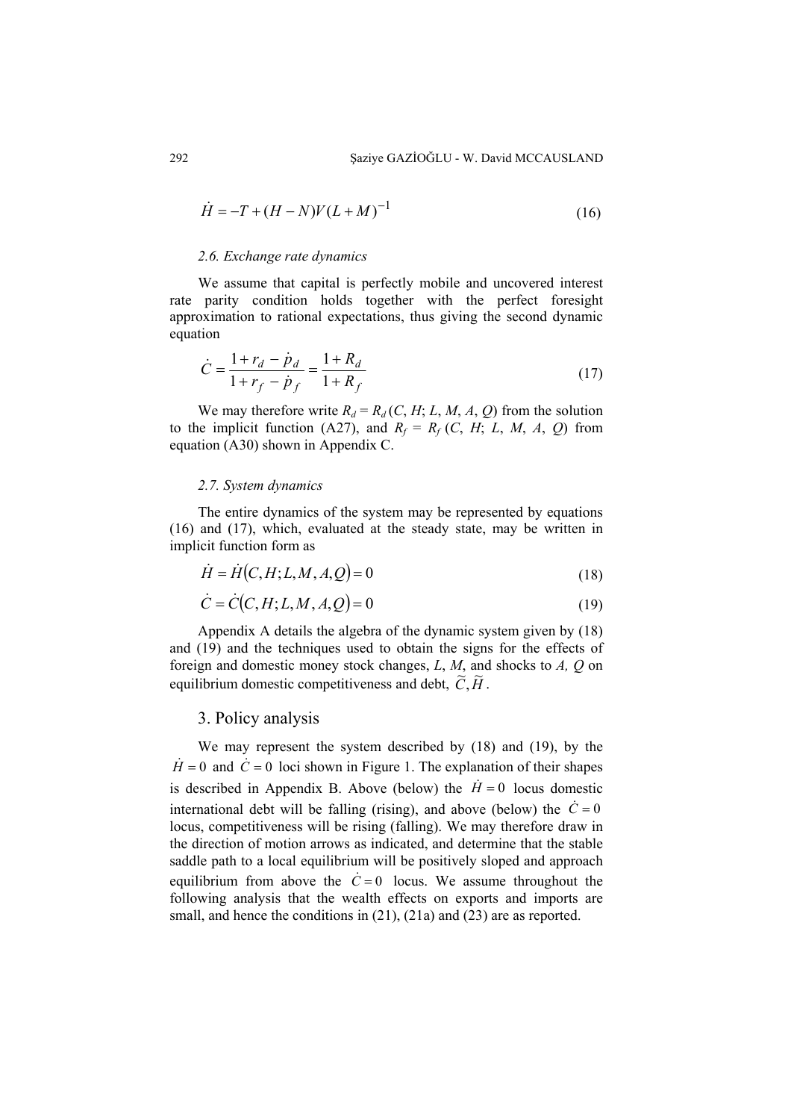$$
\dot{H} = -T + (H - N)V(L + M)^{-1}
$$
\n(16)

#### *2.6. Exchange rate dynamics*

We assume that capital is perfectly mobile and uncovered interest rate parity condition holds together with the perfect foresight approximation to rational expectations, thus giving the second dynamic equation

$$
\dot{C} = \frac{1 + r_d - \dot{p}_d}{1 + r_f - \dot{p}_f} = \frac{1 + R_d}{1 + R_f} \tag{17}
$$

We may therefore write  $R_d = R_d (C, H; L, M, A, Q)$  from the solution to the implicit function (A27), and  $R_f = R_f (C, H; L, M, A, Q)$  from equation (A30) shown in Appendix C.

#### *2.7. System dynamics*

The entire dynamics of the system may be represented by equations (16) and (17), which, evaluated at the steady state, may be written in implicit function form as

$$
\dot{H} = \dot{H}(C, H; L, M, A, Q) = 0 \tag{18}
$$

$$
\dot{C} = \dot{C}(C, H; L, M, A, Q) = 0\tag{19}
$$

Appendix A details the algebra of the dynamic system given by (18) and (19) and the techniques used to obtain the signs for the effects of foreign and domestic money stock changes, *L*, *M*, and shocks to *A, Q* on equilibrium domestic competitiveness and debt,  $\widetilde{C}$ ,  $\widetilde{H}$ .

## 3. Policy analysis

We may represent the system described by (18) and (19), by the  $\dot{H} = 0$  and  $\dot{C} = 0$  loci shown in Figure 1. The explanation of their shapes is described in Appendix B. Above (below) the  $H = 0$  locus domestic international debt will be falling (rising), and above (below) the  $\dot{C} = 0$ locus, competitiveness will be rising (falling). We may therefore draw in the direction of motion arrows as indicated, and determine that the stable saddle path to a local equilibrium will be positively sloped and approach equilibrium from above the  $\dot{C} = 0$  locus. We assume throughout the following analysis that the wealth effects on exports and imports are small, and hence the conditions in (21), (21a) and (23) are as reported.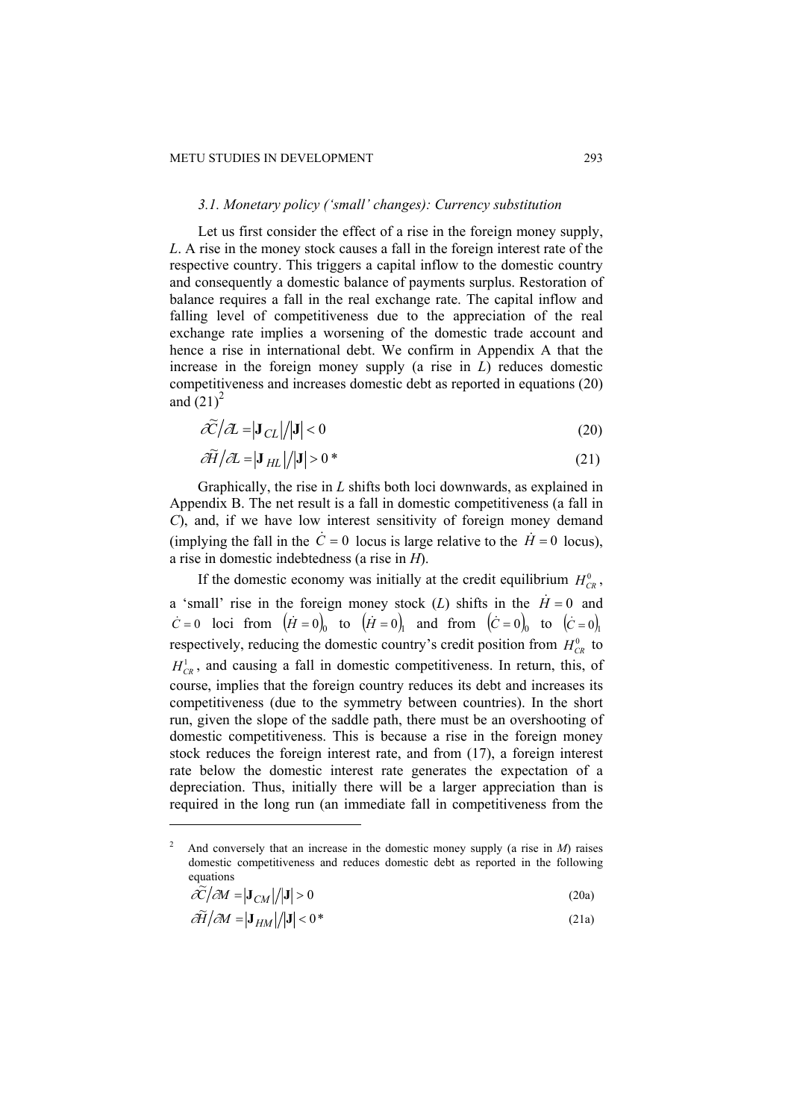## *3.1. Monetary policy ('small' changes): Currency substitution*

Let us first consider the effect of a rise in the foreign money supply, *L*. A rise in the money stock causes a fall in the foreign interest rate of the respective country. This triggers a capital inflow to the domestic country and consequently a domestic balance of payments surplus. Restoration of balance requires a fall in the real exchange rate. The capital inflow and falling level of competitiveness due to the appreciation of the real exchange rate implies a worsening of the domestic trade account and hence a rise in international debt. We confirm in Appendix A that the increase in the foreign money supply (a rise in *L*) reduces domestic competitiveness and increases domestic debt as reported in equations (20) and  $(21)^2$ 

$$
\tilde{\mathcal{K}}/\mathcal{A} = |J_{CL}|/|J| < 0
$$
\n(20)

$$
\partial \widetilde{H}/\partial L = |\mathbf{J}_{HL}|/|\mathbf{J}| > 0
$$
\n(21)

Graphically, the rise in *L* shifts both loci downwards, as explained in Appendix B. The net result is a fall in domestic competitiveness (a fall in *C*), and, if we have low interest sensitivity of foreign money demand (implying the fall in the  $\dot{C} = 0$  locus is large relative to the  $\dot{H} = 0$  locus), a rise in domestic indebtedness (a rise in *H*).

If the domestic economy was initially at the credit equilibrium  $H_{CR}^0$ , a 'small' rise in the foreign money stock (*L*) shifts in the  $\dot{H} = 0$  and  $\dot{C} = 0$  loci from  $(\dot{H} = 0)$  to  $(\dot{H} = 0)$  and from  $(\dot{C} = 0)$  to  $(\dot{C} = 0)$ , respectively, reducing the domestic country's credit position from  $H_{CR}^0$  to  $H_{CR}^1$ , and causing a fall in domestic competitiveness. In return, this, of course, implies that the foreign country reduces its debt and increases its competitiveness (due to the symmetry between countries). In the short run, given the slope of the saddle path, there must be an overshooting of domestic competitiveness. This is because a rise in the foreign money stock reduces the foreign interest rate, and from (17), a foreign interest rate below the domestic interest rate generates the expectation of a depreciation. Thus, initially there will be a larger appreciation than is required in the long run (an immediate fall in competitiveness from the

 $\overline{a}$ 

$$
\tilde{\mathcal{L}}/\partial M = |\mathbf{J}_{CM}|/|\mathbf{J}| > 0 \tag{20a}
$$

$$
\partial \widetilde{H}/\partial M = |\mathbf{J}_{HM}|/|\mathbf{J}| < 0^*
$$
\n(21a)

 $\overline{2}$  And conversely that an increase in the domestic money supply (a rise in *M*) raises domestic competitiveness and reduces domestic debt as reported in the following equations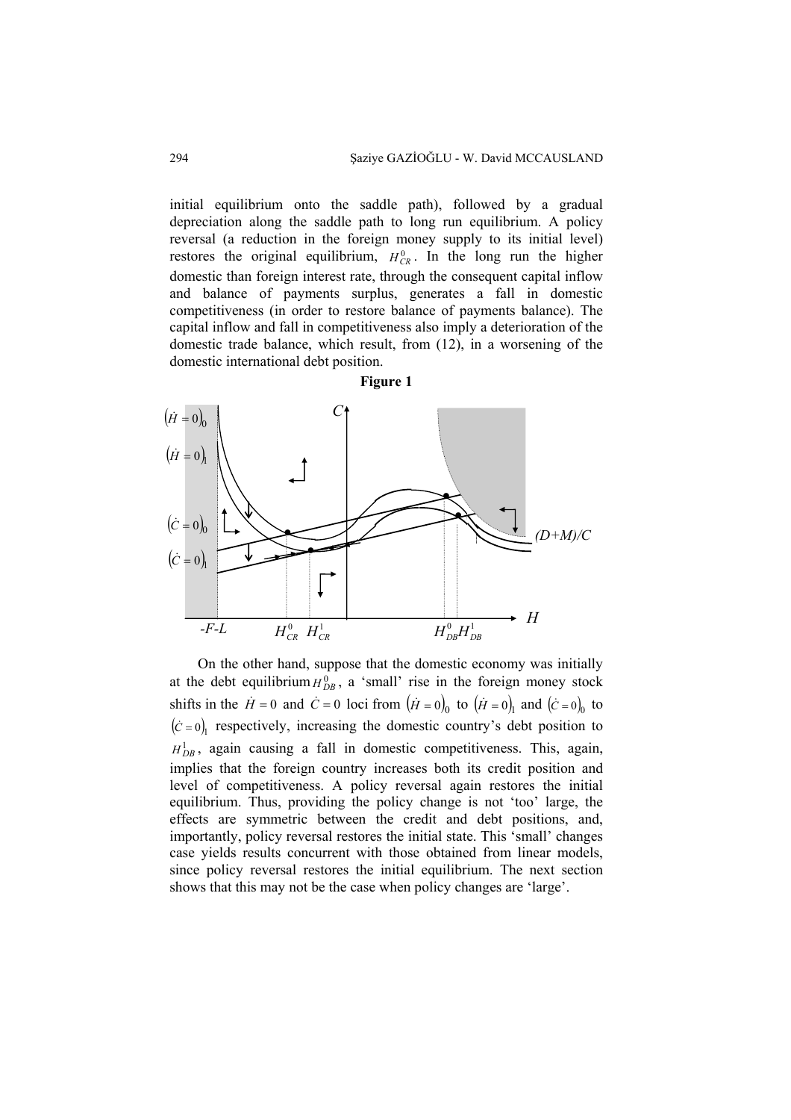initial equilibrium onto the saddle path), followed by a gradual depreciation along the saddle path to long run equilibrium. A policy reversal (a reduction in the foreign money supply to its initial level) restores the original equilibrium,  $H_{CR}^0$ . In the long run the higher domestic than foreign interest rate, through the consequent capital inflow and balance of payments surplus, generates a fall in domestic competitiveness (in order to restore balance of payments balance). The capital inflow and fall in competitiveness also imply a deterioration of the domestic trade balance, which result, from (12), in a worsening of the domestic international debt position.



On the other hand, suppose that the domestic economy was initially at the debt equilibrium  $H_{DB}^0$ , a 'small' rise in the foreign money stock shifts in the  $\dot{H} = 0$  and  $\dot{C} = 0$  loci from  $(\dot{H} = 0)$  to  $(\dot{H} = 0)$  and  $(\dot{C} = 0)$  to  $(c = 0)$  respectively, increasing the domestic country's debt position to  $H_{DB}^1$ , again causing a fall in domestic competitiveness. This, again, implies that the foreign country increases both its credit position and level of competitiveness. A policy reversal again restores the initial equilibrium. Thus, providing the policy change is not 'too' large, the effects are symmetric between the credit and debt positions, and, importantly, policy reversal restores the initial state. This 'small' changes case yields results concurrent with those obtained from linear models, since policy reversal restores the initial equilibrium. The next section shows that this may not be the case when policy changes are 'large'.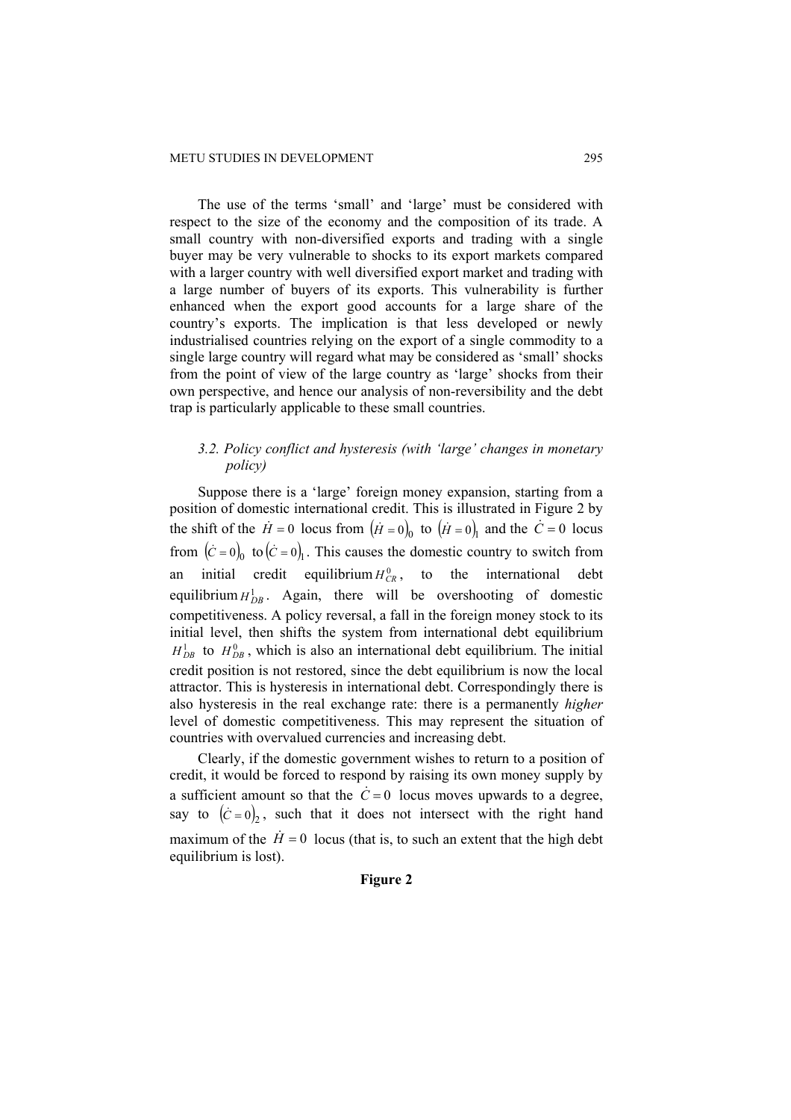The use of the terms 'small' and 'large' must be considered with respect to the size of the economy and the composition of its trade. A small country with non-diversified exports and trading with a single buyer may be very vulnerable to shocks to its export markets compared with a larger country with well diversified export market and trading with a large number of buyers of its exports. This vulnerability is further enhanced when the export good accounts for a large share of the country's exports. The implication is that less developed or newly industrialised countries relying on the export of a single commodity to a single large country will regard what may be considered as 'small' shocks from the point of view of the large country as 'large' shocks from their own perspective, and hence our analysis of non-reversibility and the debt trap is particularly applicable to these small countries.

## *3.2. Policy conflict and hysteresis (with 'large' changes in monetary policy)*

Suppose there is a 'large' foreign money expansion, starting from a position of domestic international credit. This is illustrated in Figure 2 by the shift of the  $\dot{H} = 0$  locus from  $(\dot{H} = 0)$  to  $(\dot{H} = 0)$  and the  $\dot{C} = 0$  locus from  $(\dot{C} = 0)$ <sub>0</sub> to  $(\dot{C} = 0)$ <sub>1</sub>. This causes the domestic country to switch from an initial credit equilibrium  $H_{CR}^0$ , to the international debt equilibrium  $H_{DB}^1$ . Again, there will be overshooting of domestic competitiveness. A policy reversal, a fall in the foreign money stock to its initial level, then shifts the system from international debt equilibrium  $H_{DB}^1$  to  $H_{DB}^0$ , which is also an international debt equilibrium. The initial credit position is not restored, since the debt equilibrium is now the local attractor. This is hysteresis in international debt. Correspondingly there is also hysteresis in the real exchange rate: there is a permanently *higher* level of domestic competitiveness. This may represent the situation of countries with overvalued currencies and increasing debt.

Clearly, if the domestic government wishes to return to a position of credit, it would be forced to respond by raising its own money supply by a sufficient amount so that the  $\dot{C} = 0$  locus moves upwards to a degree, say to  $(\dot{C} = 0)$ , such that it does not intersect with the right hand maximum of the  $\dot{H} = 0$  locus (that is, to such an extent that the high debt equilibrium is lost).

# **Figure 2**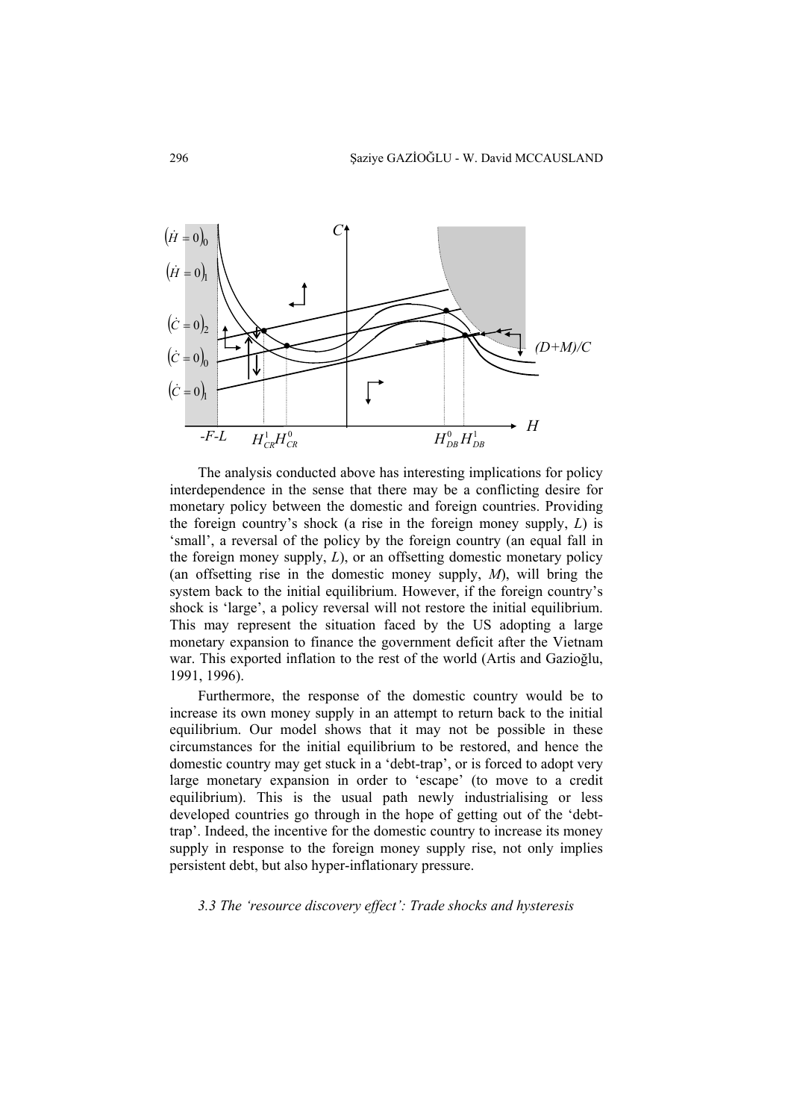

The analysis conducted above has interesting implications for policy interdependence in the sense that there may be a conflicting desire for monetary policy between the domestic and foreign countries. Providing the foreign country's shock (a rise in the foreign money supply, *L*) is 'small', a reversal of the policy by the foreign country (an equal fall in the foreign money supply, *L*), or an offsetting domestic monetary policy (an offsetting rise in the domestic money supply, *M*), will bring the system back to the initial equilibrium. However, if the foreign country's shock is 'large', a policy reversal will not restore the initial equilibrium. This may represent the situation faced by the US adopting a large monetary expansion to finance the government deficit after the Vietnam war. This exported inflation to the rest of the world (Artis and Gazioğlu, 1991, 1996).

Furthermore, the response of the domestic country would be to increase its own money supply in an attempt to return back to the initial equilibrium. Our model shows that it may not be possible in these circumstances for the initial equilibrium to be restored, and hence the domestic country may get stuck in a 'debt-trap', or is forced to adopt very large monetary expansion in order to 'escape' (to move to a credit equilibrium). This is the usual path newly industrialising or less developed countries go through in the hope of getting out of the 'debttrap'. Indeed, the incentive for the domestic country to increase its money supply in response to the foreign money supply rise, not only implies persistent debt, but also hyper-inflationary pressure.

*3.3 The 'resource discovery effect': Trade shocks and hysteresis*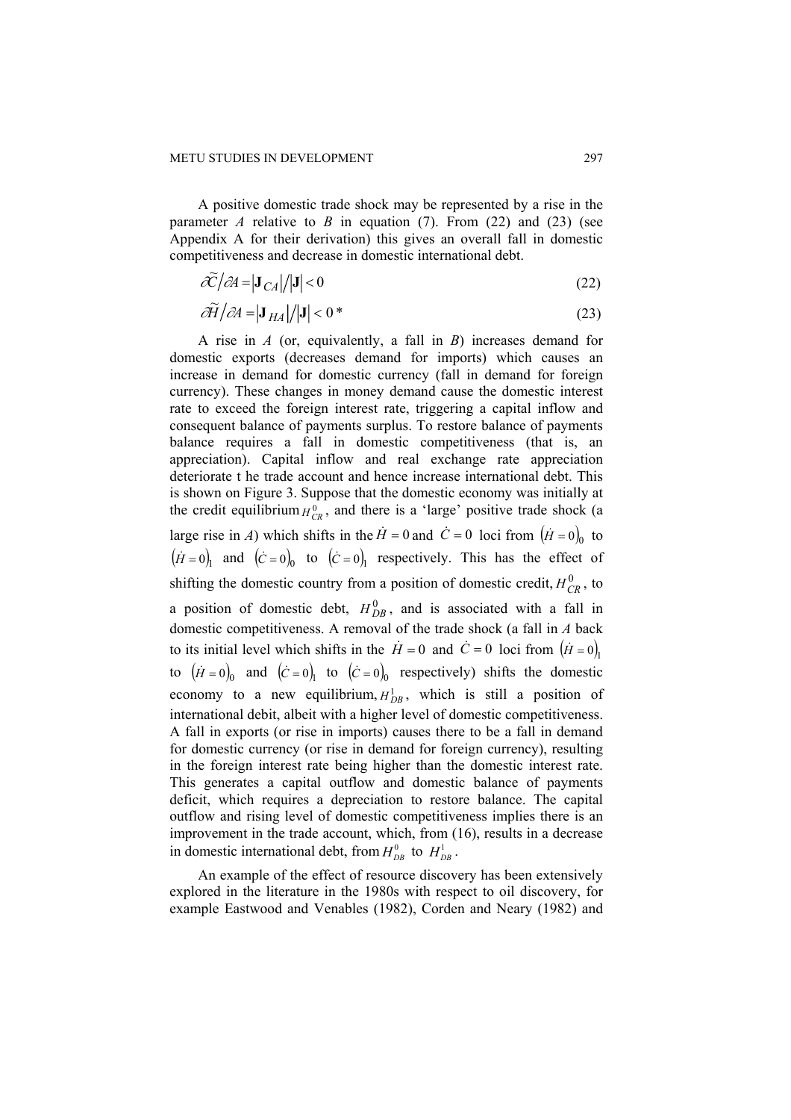A positive domestic trade shock may be represented by a rise in the parameter *A* relative to *B* in equation (7). From (22) and (23) (see Appendix A for their derivation) this gives an overall fall in domestic competitiveness and decrease in domestic international debt.

$$
\tilde{\mathcal{C}}/\partial A = |\mathbf{J}_{CA}|/|\mathbf{J}| < 0
$$
\n(22)

$$
\partial \widetilde{H} / \partial A = |\mathbf{J}_{HA}| / |\mathbf{J}| < 0^* \tag{23}
$$

A rise in *A* (or, equivalently, a fall in *B*) increases demand for domestic exports (decreases demand for imports) which causes an increase in demand for domestic currency (fall in demand for foreign currency). These changes in money demand cause the domestic interest rate to exceed the foreign interest rate, triggering a capital inflow and consequent balance of payments surplus. To restore balance of payments balance requires a fall in domestic competitiveness (that is, an appreciation). Capital inflow and real exchange rate appreciation deteriorate t he trade account and hence increase international debt. This is shown on Figure 3. Suppose that the domestic economy was initially at the credit equilibrium  $H_{CR}^0$ , and there is a 'large' positive trade shock (a large rise in *A*) which shifts in the  $\dot{H} = 0$  and  $\dot{C} = 0$  loci from  $(\dot{H} = 0)_0$  to  $(\dot{H} = 0)$  and  $(\dot{C} = 0)$  to  $(\dot{C} = 0)$  respectively. This has the effect of shifting the domestic country from a position of domestic credit,  $H_{CR}^0$ , to a position of domestic debt,  $H_{DB}^0$ , and is associated with a fall in domestic competitiveness. A removal of the trade shock (a fall in *A* back to its initial level which shifts in the  $\dot{H} = 0$  and  $\dot{C} = 0$  loci from  $(\dot{H} = 0)$ , to  $(\dot{H} = 0)$ <sub>0</sub> and  $(\dot{C} = 0)$ <sub>1</sub> to  $(\dot{C} = 0)$ <sub>0</sub> respectively) shifts the domestic economy to a new equilibrium,  $H_{DR}^1$ , which is still a position of international debit, albeit with a higher level of domestic competitiveness. A fall in exports (or rise in imports) causes there to be a fall in demand for domestic currency (or rise in demand for foreign currency), resulting in the foreign interest rate being higher than the domestic interest rate. This generates a capital outflow and domestic balance of payments deficit, which requires a depreciation to restore balance. The capital outflow and rising level of domestic competitiveness implies there is an improvement in the trade account, which, from (16), results in a decrease in domestic international debt, from  $H_{DB}^0$  to  $H_{DB}^1$ .

An example of the effect of resource discovery has been extensively explored in the literature in the 1980s with respect to oil discovery, for example Eastwood and Venables (1982), Corden and Neary (1982) and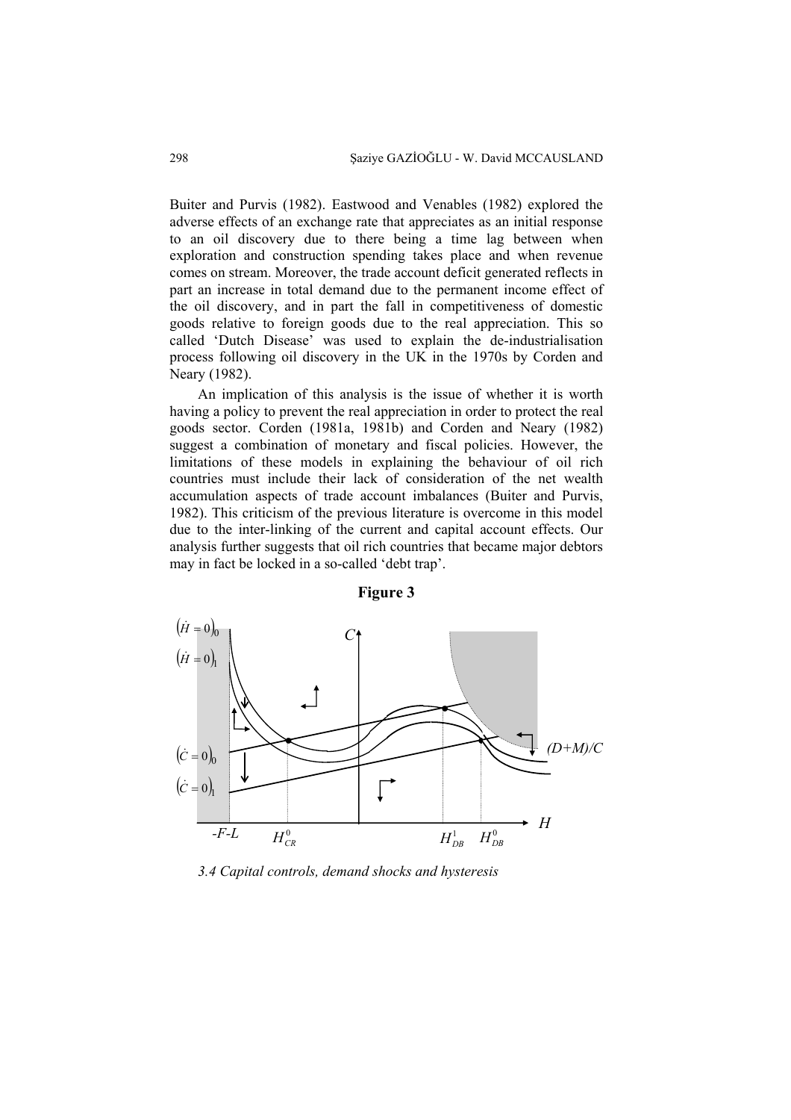Buiter and Purvis (1982). Eastwood and Venables (1982) explored the adverse effects of an exchange rate that appreciates as an initial response to an oil discovery due to there being a time lag between when exploration and construction spending takes place and when revenue comes on stream. Moreover, the trade account deficit generated reflects in part an increase in total demand due to the permanent income effect of the oil discovery, and in part the fall in competitiveness of domestic goods relative to foreign goods due to the real appreciation. This so called 'Dutch Disease' was used to explain the de-industrialisation process following oil discovery in the UK in the 1970s by Corden and Neary (1982).

An implication of this analysis is the issue of whether it is worth having a policy to prevent the real appreciation in order to protect the real goods sector. Corden (1981a, 1981b) and Corden and Neary (1982) suggest a combination of monetary and fiscal policies. However, the limitations of these models in explaining the behaviour of oil rich countries must include their lack of consideration of the net wealth accumulation aspects of trade account imbalances (Buiter and Purvis, 1982). This criticism of the previous literature is overcome in this model due to the inter-linking of the current and capital account effects. Our analysis further suggests that oil rich countries that became major debtors may in fact be locked in a so-called 'debt trap'.



**Figure 3** 

*3.4 Capital controls, demand shocks and hysteresis*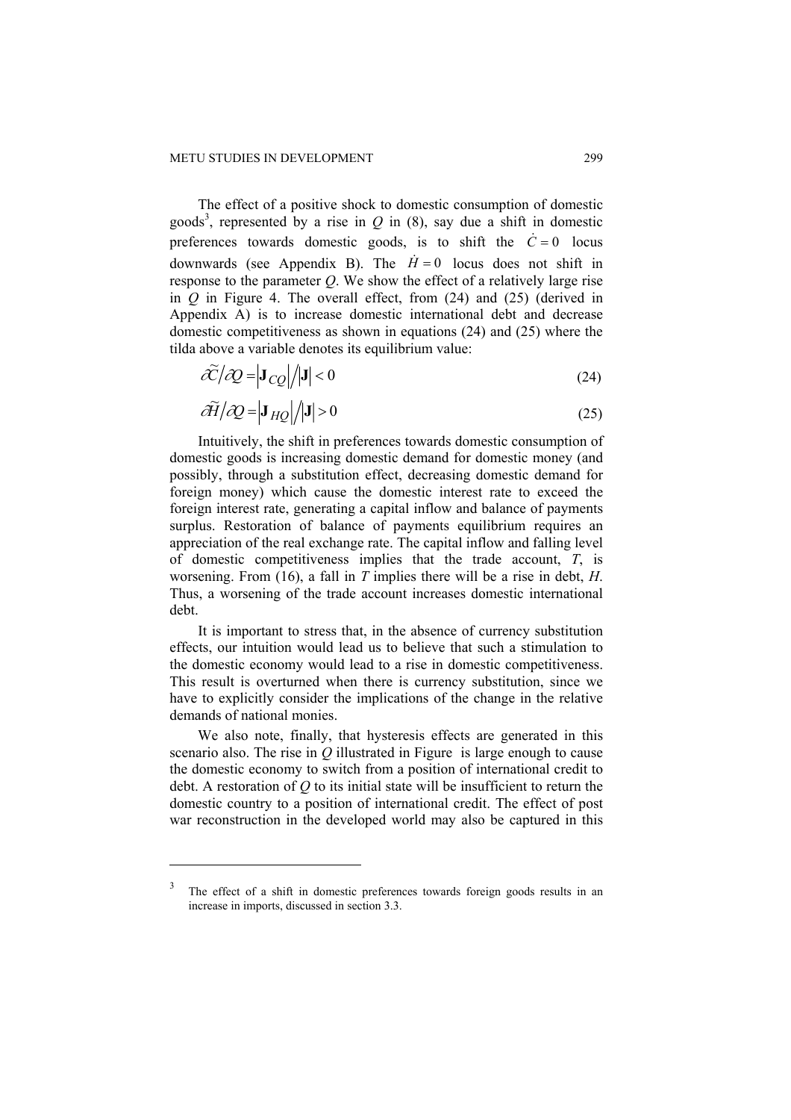The effect of a positive shock to domestic consumption of domestic goods<sup>3</sup>, represented by a rise in  $Q$  in (8), say due a shift in domestic preferences towards domestic goods, is to shift the  $\dot{C} = 0$  locus downwards (see Appendix B). The  $\dot{H} = 0$  locus does not shift in response to the parameter *Q*. We show the effect of a relatively large rise in *Q* in Figure 4. The overall effect, from (24) and (25) (derived in Appendix A) is to increase domestic international debt and decrease domestic competitiveness as shown in equations (24) and (25) where the tilda above a variable denotes its equilibrium value:

$$
\tilde{\mathcal{X}}/\tilde{\mathcal{Q}} = |\mathbf{J}_{CQ}|/|\mathbf{J}| < 0
$$
\n(24)

$$
\partial \widetilde{H} / \partial Q = \left| \mathbf{J}_{HQ} \right| / \left| \mathbf{J} \right| > 0 \tag{25}
$$

Intuitively, the shift in preferences towards domestic consumption of domestic goods is increasing domestic demand for domestic money (and possibly, through a substitution effect, decreasing domestic demand for foreign money) which cause the domestic interest rate to exceed the foreign interest rate, generating a capital inflow and balance of payments surplus. Restoration of balance of payments equilibrium requires an appreciation of the real exchange rate. The capital inflow and falling level of domestic competitiveness implies that the trade account, *T*, is worsening. From (16), a fall in *T* implies there will be a rise in debt, *H*. Thus, a worsening of the trade account increases domestic international debt.

It is important to stress that, in the absence of currency substitution effects, our intuition would lead us to believe that such a stimulation to the domestic economy would lead to a rise in domestic competitiveness. This result is overturned when there is currency substitution, since we have to explicitly consider the implications of the change in the relative demands of national monies.

We also note, finally, that hysteresis effects are generated in this scenario also. The rise in *Q* illustrated in Figure is large enough to cause the domestic economy to switch from a position of international credit to debt. A restoration of *Q* to its initial state will be insufficient to return the domestic country to a position of international credit. The effect of post war reconstruction in the developed world may also be captured in this

 $\overline{a}$ 

The effect of a shift in domestic preferences towards foreign goods results in an increase in imports, discussed in section 3.3.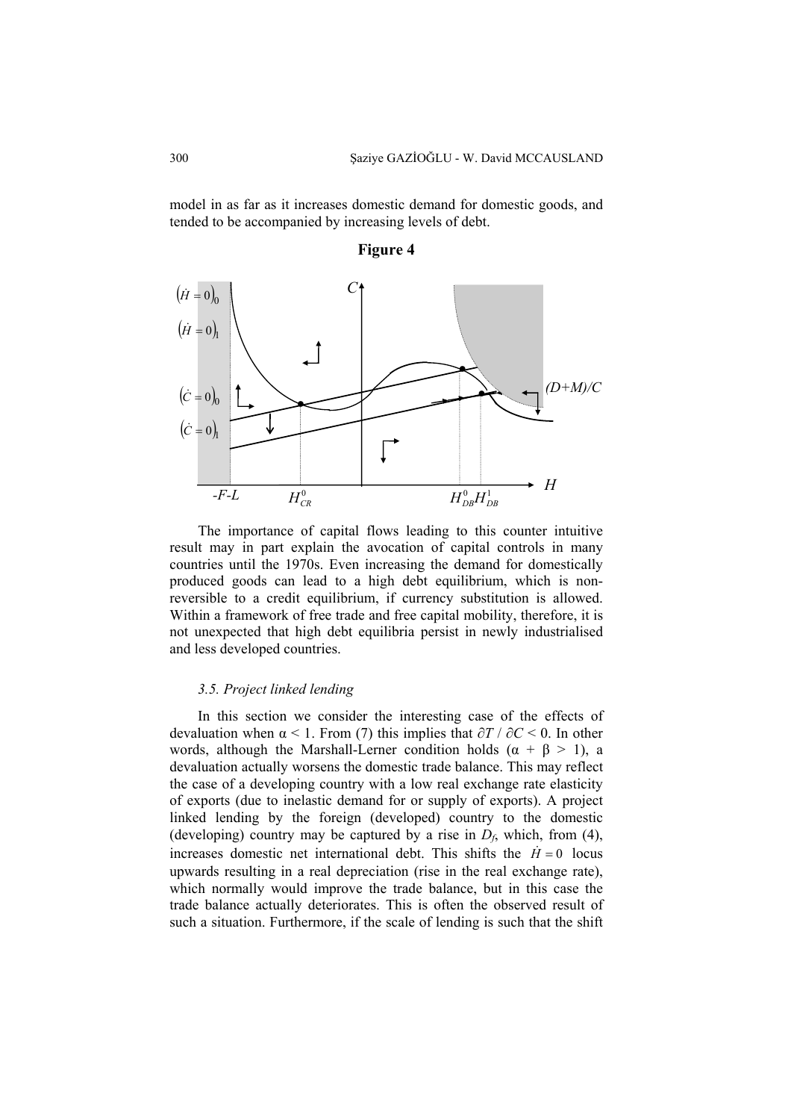model in as far as it increases domestic demand for domestic goods, and tended to be accompanied by increasing levels of debt.





The importance of capital flows leading to this counter intuitive result may in part explain the avocation of capital controls in many countries until the 1970s. Even increasing the demand for domestically produced goods can lead to a high debt equilibrium, which is nonreversible to a credit equilibrium, if currency substitution is allowed. Within a framework of free trade and free capital mobility, therefore, it is not unexpected that high debt equilibria persist in newly industrialised and less developed countries.

#### *3.5. Project linked lending*

In this section we consider the interesting case of the effects of devaluation when α < 1. From (7) this implies that *∂T* / *∂C* < 0. In other words, although the Marshall-Lerner condition holds  $(\alpha + \beta > 1)$ , a devaluation actually worsens the domestic trade balance. This may reflect the case of a developing country with a low real exchange rate elasticity of exports (due to inelastic demand for or supply of exports). A project linked lending by the foreign (developed) country to the domestic (developing) country may be captured by a rise in  $D_f$ , which, from (4), increases domestic net international debt. This shifts the  $\dot{H} = 0$  locus upwards resulting in a real depreciation (rise in the real exchange rate), which normally would improve the trade balance, but in this case the trade balance actually deteriorates. This is often the observed result of such a situation. Furthermore, if the scale of lending is such that the shift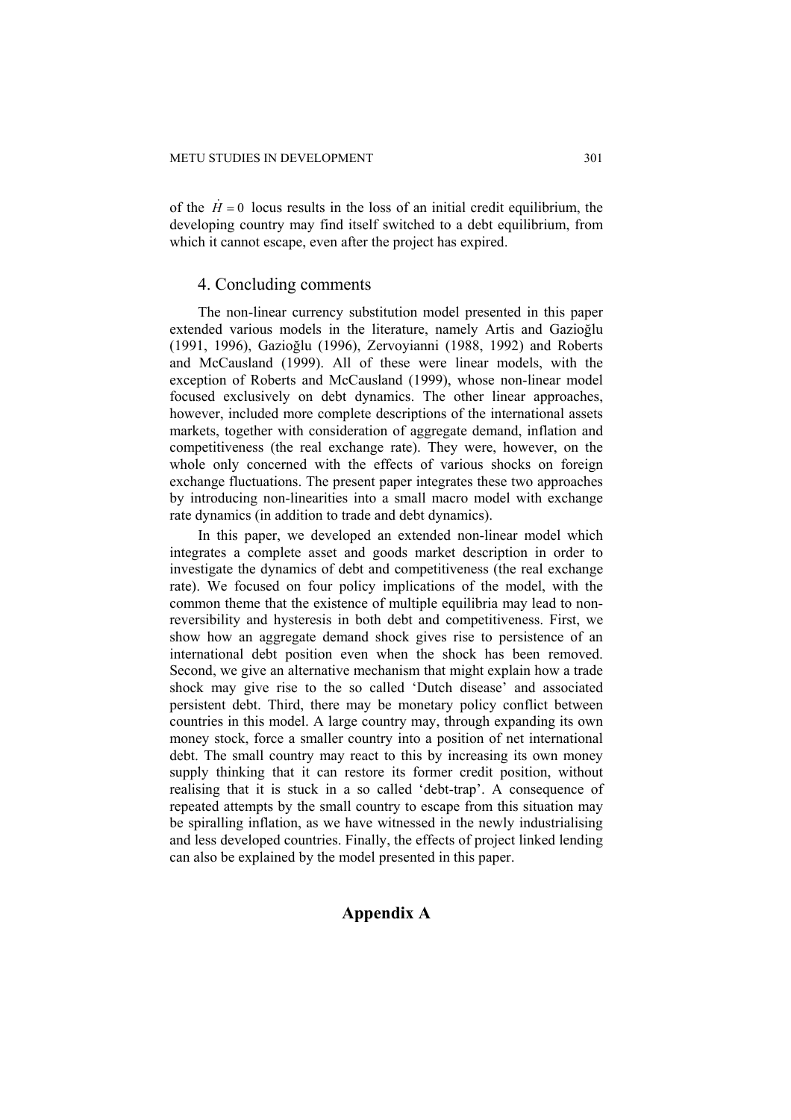of the  $\dot{H} = 0$  locus results in the loss of an initial credit equilibrium, the developing country may find itself switched to a debt equilibrium, from which it cannot escape, even after the project has expired.

# 4. Concluding comments

The non-linear currency substitution model presented in this paper extended various models in the literature, namely Artis and Gazioğlu (1991, 1996), Gazioğlu (1996), Zervoyianni (1988, 1992) and Roberts and McCausland (1999). All of these were linear models, with the exception of Roberts and McCausland (1999), whose non-linear model focused exclusively on debt dynamics. The other linear approaches, however, included more complete descriptions of the international assets markets, together with consideration of aggregate demand, inflation and competitiveness (the real exchange rate). They were, however, on the whole only concerned with the effects of various shocks on foreign exchange fluctuations. The present paper integrates these two approaches by introducing non-linearities into a small macro model with exchange rate dynamics (in addition to trade and debt dynamics).

In this paper, we developed an extended non-linear model which integrates a complete asset and goods market description in order to investigate the dynamics of debt and competitiveness (the real exchange rate). We focused on four policy implications of the model, with the common theme that the existence of multiple equilibria may lead to nonreversibility and hysteresis in both debt and competitiveness. First, we show how an aggregate demand shock gives rise to persistence of an international debt position even when the shock has been removed. Second, we give an alternative mechanism that might explain how a trade shock may give rise to the so called 'Dutch disease' and associated persistent debt. Third, there may be monetary policy conflict between countries in this model. A large country may, through expanding its own money stock, force a smaller country into a position of net international debt. The small country may react to this by increasing its own money supply thinking that it can restore its former credit position, without realising that it is stuck in a so called 'debt-trap'. A consequence of repeated attempts by the small country to escape from this situation may be spiralling inflation, as we have witnessed in the newly industrialising and less developed countries. Finally, the effects of project linked lending can also be explained by the model presented in this paper.

# **Appendix A**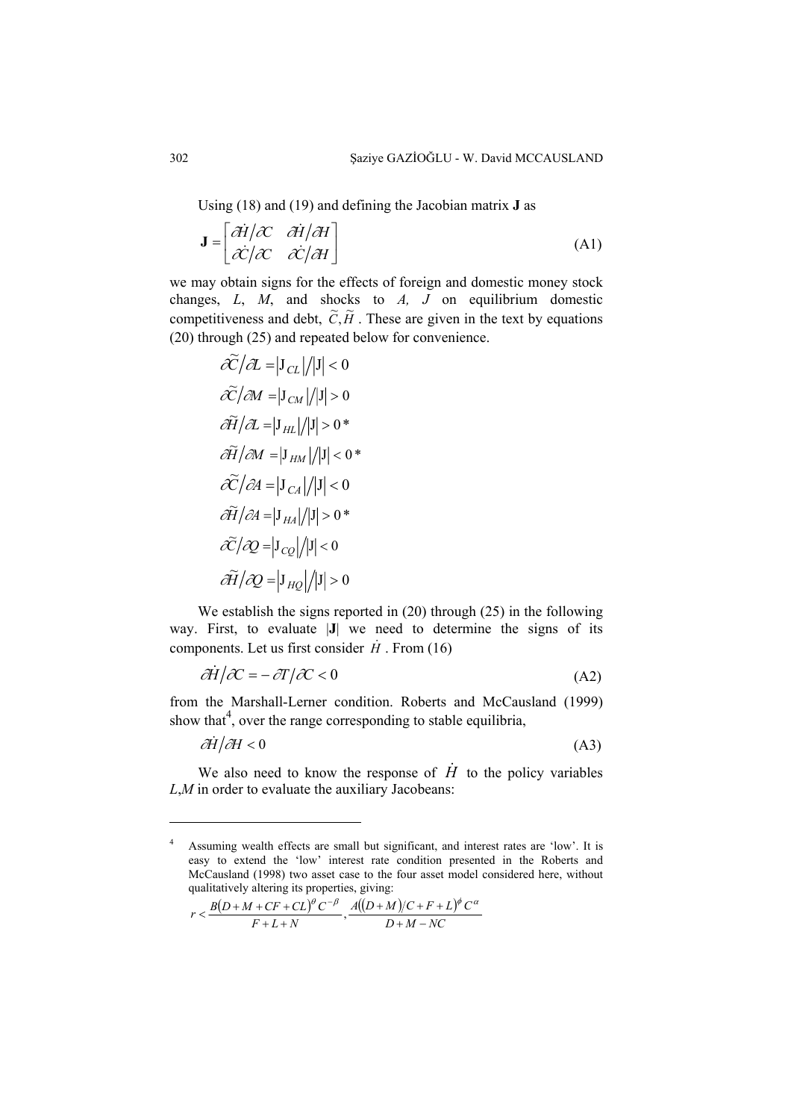Using (18) and (19) and defining the Jacobian matrix **J** as

$$
\mathbf{J} = \begin{bmatrix} \frac{\partial \dot{\mathbf{H}}}{\partial \mathbf{C}} & \frac{\partial \dot{\mathbf{H}}}{\partial \mathbf{H}} \\ \frac{\partial \dot{\mathbf{H}}}{\partial \mathbf{C}} & \frac{\partial \dot{\mathbf{H}}}{\partial \mathbf{H}} \end{bmatrix}
$$
(A1)

we may obtain signs for the effects of foreign and domestic money stock changes, *L*, *M*, and shocks to *A, J* on equilibrium domestic competitiveness and debt,  $\tilde{C}, \tilde{H}$ . These are given in the text by equations (20) through (25) and repeated below for convenience.

$$
\begin{aligned}\n\widetilde{\mathcal{L}}/\mathcal{A} &= |J_{CL}|/|J| < 0 \\
\widetilde{\mathcal{L}}/\mathcal{M} &= |J_{CM}|/|J| > 0 \\
\widetilde{\partial H}/\mathcal{A} &= |J_{HL}|/|J| > 0^* \\
\widetilde{\partial H}/\mathcal{M} &= |J_{HM}|/|J| < 0^* \\
\widetilde{\mathcal{L}}/\mathcal{A} &= |J_{CA}|/|J| < 0 \\
\widetilde{\partial H}/\mathcal{A} &= |J_{HA}|/|J| > 0^* \\
\widetilde{\mathcal{L}}/\mathcal{Q} &= |J_{CQ}|/|J| < 0 \\
\widetilde{\partial H}/\mathcal{Q} &= |J_{HQ}|/|J| > 0\n\end{aligned}
$$

We establish the signs reported in (20) through (25) in the following way. First, to evaluate |**J**| we need to determine the signs of its components. Let us first consider  $\dot{H}$ . From (16)

$$
\frac{\partial \dot{H}}{\partial C} = -\frac{\partial T}{\partial C} < 0 \tag{A2}
$$

from the Marshall-Lerner condition. Roberts and McCausland (1999) show that<sup>4</sup>, over the range corresponding to stable equilibria,

$$
\partial \dot{H} / \partial H < 0 \tag{A3}
$$

We also need to know the response of  $\dot{H}$  to the policy variables *L*,*M* in order to evaluate the auxiliary Jacobeans:

$$
r < \frac{B(D+M+CF+CL)^{\theta}C^{-\beta}}{F+L+N}, \frac{A((D+M)/C+F+L)^{\phi}C^{\alpha}}{D+M-NC}
$$

 $\overline{a}$ 

<sup>4</sup> Assuming wealth effects are small but significant, and interest rates are 'low'. It is easy to extend the 'low' interest rate condition presented in the Roberts and McCausland (1998) two asset case to the four asset model considered here, without qualitatively altering its properties, giving: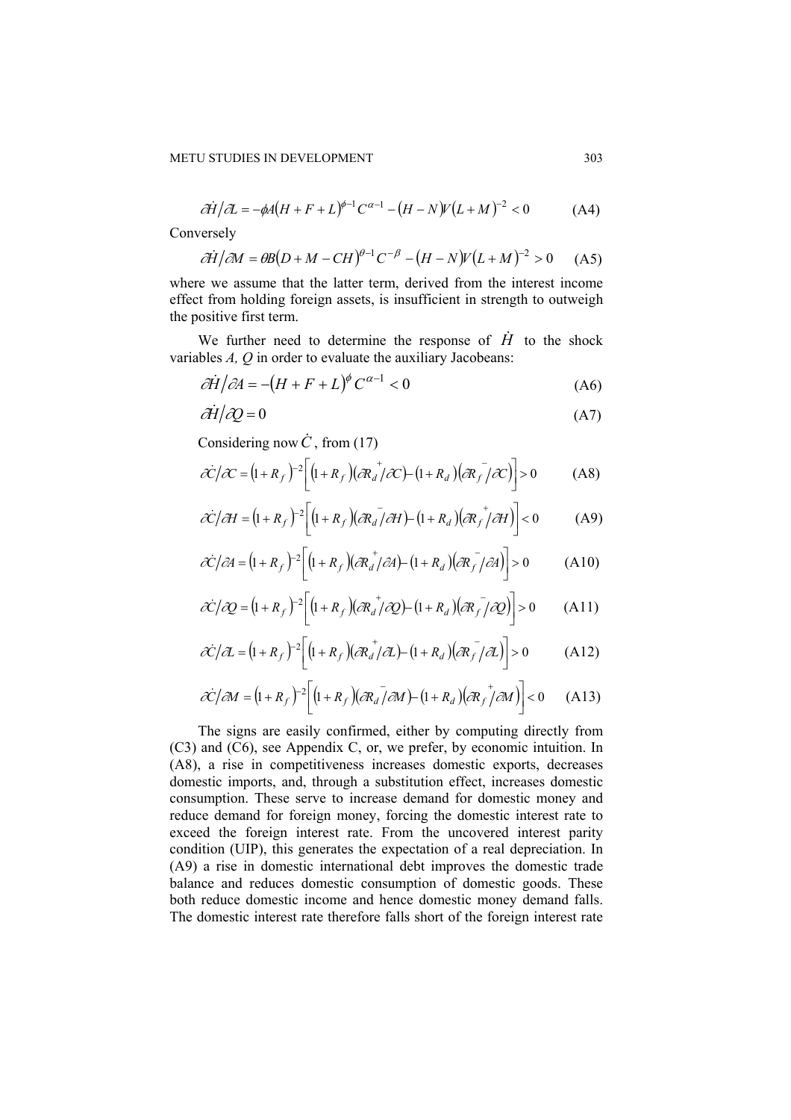$$
\partial \dot{H}/\partial L = -\phi A (H + F + L)^{\phi - 1} C^{\alpha - 1} - (H - N) V (L + M)^{-2} < 0 \tag{A4}
$$

Conversely

$$
\partial \dot{H}/\partial M = \partial B(D+M-CH)^{\theta-1}C^{-\beta} - (H-N)V(L+M)^{-2} > 0
$$
 (A5)

where we assume that the latter term, derived from the interest income effect from holding foreign assets, is insufficient in strength to outweigh the positive first term.

We further need to determine the response of  $\dot{H}$  to the shock variables *A, Q* in order to evaluate the auxiliary Jacobeans:

$$
\frac{\partial \dot{H}}{\partial A} = -(H + F + L)^{\phi} C^{\alpha - 1} < 0 \tag{A6}
$$

$$
\partial \dot{H} / \partial Q = 0 \tag{A7}
$$

Considering now  $\dot{C}$ , from (17)

$$
\hat{\mathcal{K}}/\mathcal{K} = (1 + R_f)^{-2} \left[ (1 + R_f) (\partial R_d^+ / \partial C) - (1 + R_d) (\partial R_f^- / \partial C) \right] > 0 \tag{A8}
$$

$$
\partial \dot{\mathcal{C}}/\partial H = (1 + R_f)^{-2} \Big[ (1 + R_f)(\partial R_d / \partial H) - (1 + R_d)(\partial R_f / \partial H) \Big] < 0 \tag{A9}
$$

$$
\partial \dot{\mathcal{C}}/\partial A = (1 + R_f)^{-2} \Big[ (1 + R_f) (\partial R_d^+ / \partial A) - (1 + R_d) (\partial R_f^- / \partial A) \Big] > 0 \tag{A10}
$$

$$
\partial \hat{C}/\partial Q = (1 + R_f)^{-2} \left[ (1 + R_f)(\partial R_d^+ / \partial Q) - (1 + R_d)(\partial R_f^- / \partial Q) \right] > 0 \qquad (A11)
$$

$$
\partial \dot{\mathcal{C}}/\partial L = (1 + R_f)^{-2} \Big[ (1 + R_f) (\partial R_d^+ / \partial L) - (1 + R_d) (\partial R_f^- / \partial L) \Big] > 0 \tag{A12}
$$

$$
\partial \dot{\mathcal{C}}/\partial M = (1 + R_f)^{-2} \Big[ (1 + R_f)(\partial R_d / \partial M) - (1 + R_d)(\partial R_f / \partial M) \Big] < 0 \qquad (A13)
$$

The signs are easily confirmed, either by computing directly from (C3) and (C6), see Appendix C, or, we prefer, by economic intuition. In (A8), a rise in competitiveness increases domestic exports, decreases domestic imports, and, through a substitution effect, increases domestic consumption. These serve to increase demand for domestic money and reduce demand for foreign money, forcing the domestic interest rate to exceed the foreign interest rate. From the uncovered interest parity condition (UIP), this generates the expectation of a real depreciation. In (A9) a rise in domestic international debt improves the domestic trade balance and reduces domestic consumption of domestic goods. These both reduce domestic income and hence domestic money demand falls. The domestic interest rate therefore falls short of the foreign interest rate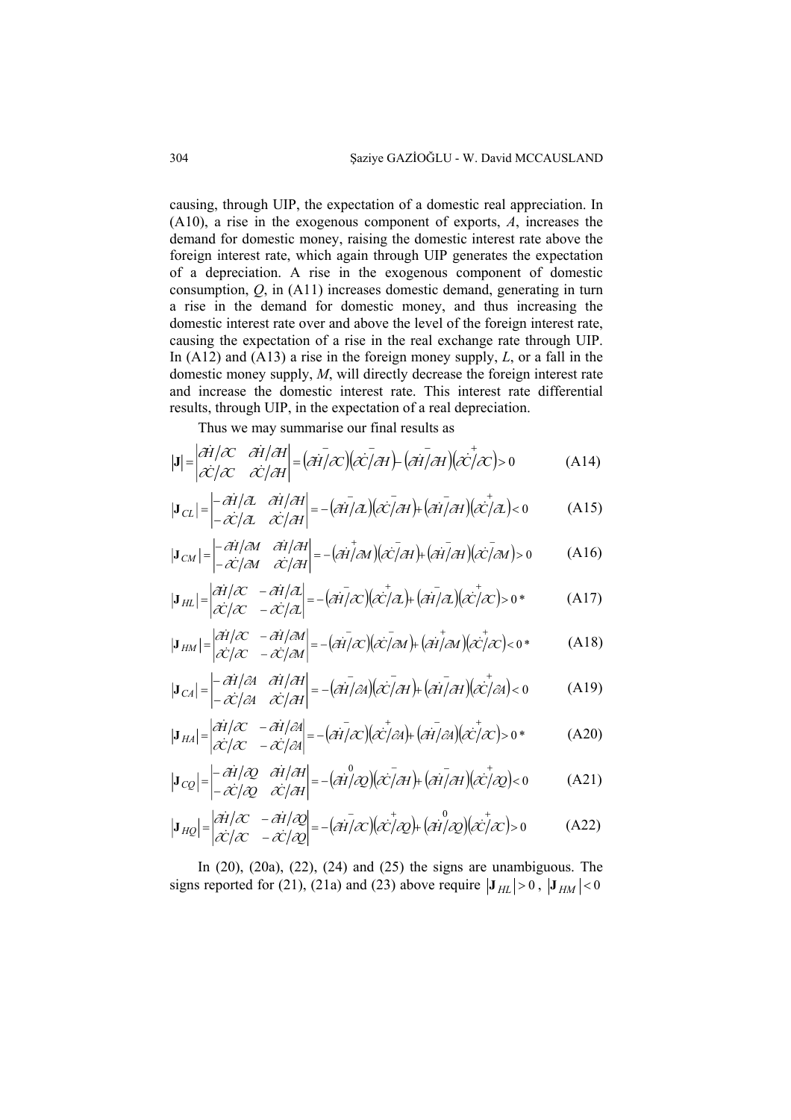causing, through UIP, the expectation of a domestic real appreciation. In (A10), a rise in the exogenous component of exports, *A*, increases the demand for domestic money, raising the domestic interest rate above the foreign interest rate, which again through UIP generates the expectation of a depreciation. A rise in the exogenous component of domestic consumption, *Q*, in (A11) increases domestic demand, generating in turn a rise in the demand for domestic money, and thus increasing the domestic interest rate over and above the level of the foreign interest rate, causing the expectation of a rise in the real exchange rate through UIP. In (A12) and (A13) a rise in the foreign money supply, *L*, or a fall in the domestic money supply, *M*, will directly decrease the foreign interest rate and increase the domestic interest rate. This interest rate differential results, through UIP, in the expectation of a real depreciation.

Thus we may summarise our final results as

$$
|\mathbf{J}| = \begin{vmatrix} \partial \dot{H} / \partial C & \partial \dot{H} / \partial H \\ \partial C / \partial C & \partial C / \partial H \end{vmatrix} = (\partial \dot{H} / \partial C)(\partial C / \partial H) - (\partial \dot{H} / \partial H)(\partial C / \partial C) > 0
$$
 (A14)

$$
|\mathbf{J}_{CL}| = \begin{vmatrix} -\frac{\partial \mathbf{\hat{H}}}{\partial L} & \frac{\partial \mathbf{\hat{H}}}{\partial H} \\ -\frac{\partial \mathbf{\hat{C}}}{\partial L} & \frac{\partial \mathbf{\hat{C}}}{\partial H} \end{vmatrix} = -(\frac{\partial \mathbf{I}}{\partial L})(\frac{\partial \mathbf{\hat{C}}}{\partial H}) + (\frac{\partial \mathbf{\hat{H}}}{\partial H})(\frac{\partial \mathbf{\hat{C}}}{\partial L}) < 0
$$
 (A15)

$$
|\mathbf{J}_{CM}| = \begin{vmatrix} -\frac{\partial \mathbf{H}}{\partial M} & \frac{\partial \mathbf{H}}{\partial H} \\ -\frac{\partial \mathbf{C}}{\partial M} & \frac{\partial \mathbf{C}}{\partial H} \end{vmatrix} = -(\frac{\partial \mathbf{H}}{\partial M})(\frac{\partial \mathbf{C}}{\partial H}) + (\frac{\partial \mathbf{H}}{\partial H})(\frac{\partial \mathbf{C}}{\partial M}) > 0
$$
 (A16)

$$
|\mathbf{J}_{HL}| = \begin{vmatrix} \partial \dot{\mathbf{H}}/\partial C & -\partial \dot{\mathbf{H}}/\partial L \\ \partial C/\partial C & -\partial C/\partial L \end{vmatrix} = -(\partial \dot{\mathbf{H}}/\partial C)(\partial C/\partial L) + (\partial \dot{\mathbf{H}}/\partial L)(\partial C/\partial C) > 0
$$
 (A17)

$$
|\mathbf{J}_{HM}| = \begin{vmatrix} \partial \dot{\mathbf{H}}/\partial C & -\partial \dot{\mathbf{H}}/\partial M \\ \partial \dot{\mathbf{C}}/\partial C & -\partial \dot{\mathbf{C}}/\partial M \end{vmatrix} = -(\partial \dot{\mathbf{H}}/\partial C)(\partial \dot{\mathbf{C}}/\partial M) + (\partial \dot{\mathbf{H}}/\partial M)(\partial \dot{\mathbf{C}}/\partial C) < 0
$$
 (A18)

$$
|\mathbf{J}_{CA}| = \begin{vmatrix} -\frac{\partial \mathbf{\hat{H}}}{\partial A} & \frac{\partial \mathbf{\hat{H}}}{\partial H} \\ -\frac{\partial \mathbf{\hat{C}}}{\partial A} & \frac{\partial \mathbf{\hat{C}}}{\partial H} \end{vmatrix} = -(\frac{\partial \mathbf{\hat{H}}}{\partial A})(\frac{\partial \mathbf{\hat{C}}}{\partial H}) + (\frac{\partial \mathbf{\hat{H}}}{\partial H})(\frac{\partial \mathbf{\hat{C}}}{\partial A}) < 0
$$
 (A19)

$$
|\mathbf{J}_{HA}| = \begin{vmatrix} \partial \dot{\mathbf{H}}/\partial C & -\partial \dot{\mathbf{H}}/\partial A \\ \partial \dot{\mathbf{C}}/\partial C & -\partial \dot{\mathbf{C}}/\partial A \end{vmatrix} = -(\partial \dot{\mathbf{H}}/\partial C)(\partial \dot{\mathbf{C}}/\partial A) + (\partial \dot{\mathbf{H}}/\partial A)(\partial \dot{\mathbf{C}}/\partial C) > 0
$$
 (A20)

$$
\left|\mathbf{J}_{CQ}\right| = \begin{vmatrix} -\frac{\partial \mathbf{\hat{H}}}{\partial Q} & \frac{\partial \mathbf{\hat{H}}}{\partial H} \\ -\frac{\partial \mathbf{\hat{C}}}{\partial Q} & \frac{\partial \mathbf{\hat{C}}}{\partial H} \end{vmatrix} = -\left(\frac{\partial \mathbf{\hat{H}}}{\partial Q}\right)\left(\frac{\partial \mathbf{\hat{C}}}{\partial H}\right) + \left(\frac{\partial \mathbf{\hat{H}}}{\partial H}\right)\left(\frac{\partial \mathbf{\hat{C}}}{\partial Q}\right) < 0 \tag{A21}
$$

$$
\left|\mathbf{J}_{HQ}\right| = \begin{vmatrix} \frac{\partial \mathbf{\dot{H}}}{\partial \mathbf{C}} & -\frac{\partial \mathbf{\dot{H}}}{\partial \mathbf{Q}} \\ \frac{\partial \mathbf{\dot{C}}}{\partial \mathbf{C}} & -\frac{\partial \mathbf{\dot{C}}}{\partial \mathbf{Q}} \end{vmatrix} = -\left(\frac{\partial \mathbf{\dot{H}}}{\partial \mathbf{C}}\right)\left(\frac{\partial \mathbf{\dot{C}}}{\partial \mathbf{Q}}\right) + \left(\frac{\partial \mathbf{\dot{H}}}{\partial \mathbf{Q}}\right)\left(\frac{\partial \mathbf{\dot{C}}}{\partial \mathbf{C}}\right) > 0 \tag{A22}
$$

In (20), (20a), (22), (24) and (25) the signs are unambiguous. The signs reported for (21), (21a) and (23) above require  $|\mathbf{J}_{HL}| > 0$ ,  $|\mathbf{J}_{HM}| < 0$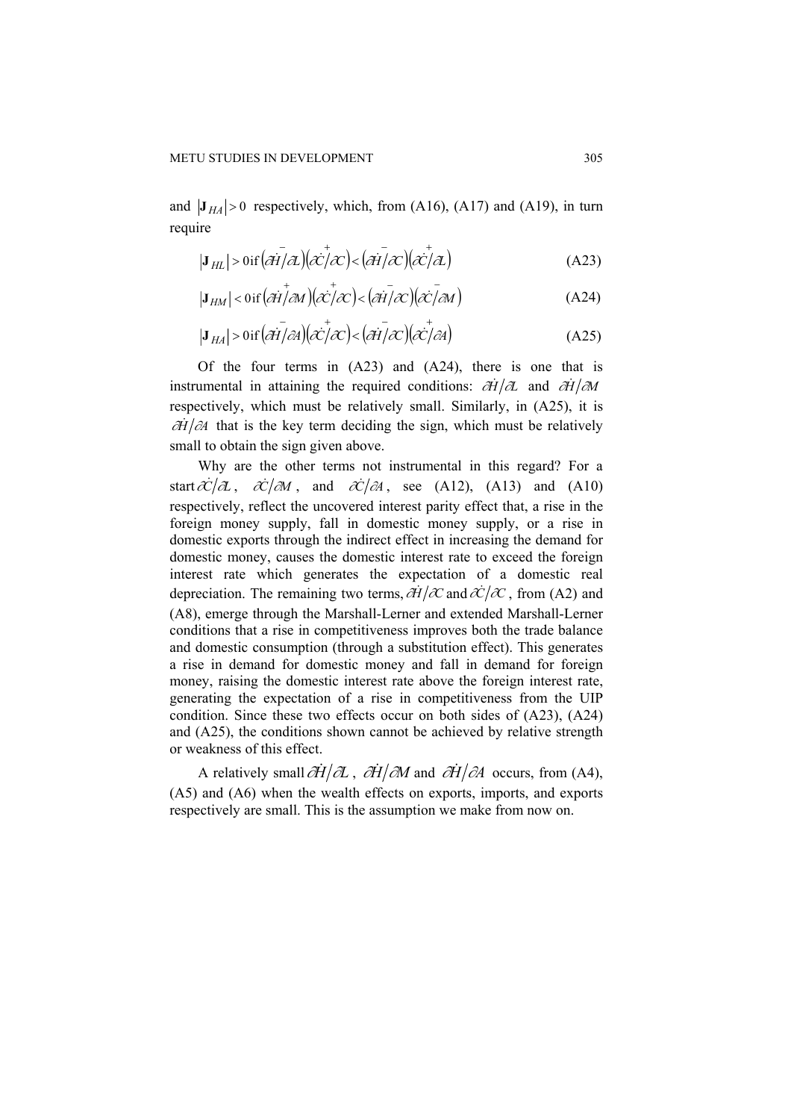and  $|J_{HA}| > 0$  respectively, which, from (A16), (A17) and (A19), in turn require

$$
|\mathbf{J}_{HL}| > 0 \text{ if } \left(\mathbf{A}\mathbf{H}/\mathbf{A}\right) \left(\mathbf{A}\mathbf{H}/\mathbf{A}\right) < \left(\mathbf{A}\mathbf{H}/\mathbf{A}\right) \left(\mathbf{A}\mathbf{H}/\mathbf{A}\right)
$$
\n(A23)

$$
|\mathbf{J}_{HM}| < 0 \text{ if } (\partial \dot{\mathbf{H}}/\partial M)(\partial \dot{\mathbf{C}}/\partial \mathbf{C}) < (\partial \dot{\mathbf{H}}/\partial \mathbf{C})(\partial \dot{\mathbf{C}}/\partial M)
$$
 (A24)

$$
|\mathbf{J}_{HA}| > \text{0if} \left(\overline{\partial H}/\partial A\right) \left(\overline{\partial C}/\partial C\right) < \left(\overline{\partial H}/\partial C\right) \left(\overline{\partial C}/\partial A\right)
$$
 (A25)

Of the four terms in (A23) and (A24), there is one that is instrumental in attaining the required conditions: ∂*H*  $\partial$ *A* and ∂*H*  $\partial$ *M* respectively, which must be relatively small. Similarly, in (A25), it is  $\partial \dot{H}$   $\partial A$  that is the key term deciding the sign, which must be relatively small to obtain the sign given above.

Why are the other terms not instrumental in this regard? For a start  $\frac{\partial C}{\partial L}$ ,  $\frac{\partial C}{\partial M}$ , and  $\frac{\partial C}{\partial A}$ , see (A12), (A13) and (A10) respectively, reflect the uncovered interest parity effect that, a rise in the foreign money supply, fall in domestic money supply, or a rise in domestic exports through the indirect effect in increasing the demand for domestic money, causes the domestic interest rate to exceed the foreign interest rate which generates the expectation of a domestic real depreciation. The remaining two terms,  $\partial \vec{H}/\partial C$  and  $\partial C/\partial C$ , from (A2) and (A8), emerge through the Marshall-Lerner and extended Marshall-Lerner conditions that a rise in competitiveness improves both the trade balance and domestic consumption (through a substitution effect). This generates a rise in demand for domestic money and fall in demand for foreign money, raising the domestic interest rate above the foreign interest rate, generating the expectation of a rise in competitiveness from the UIP condition. Since these two effects occur on both sides of (A23), (A24) and (A25), the conditions shown cannot be achieved by relative strength or weakness of this effect.

A relatively small  $\partial \dot{H}/\partial L$ ,  $\partial \dot{H}/\partial M$  and  $\partial \dot{H}/\partial A$  occurs, from (A4), (A5) and (A6) when the wealth effects on exports, imports, and exports respectively are small. This is the assumption we make from now on.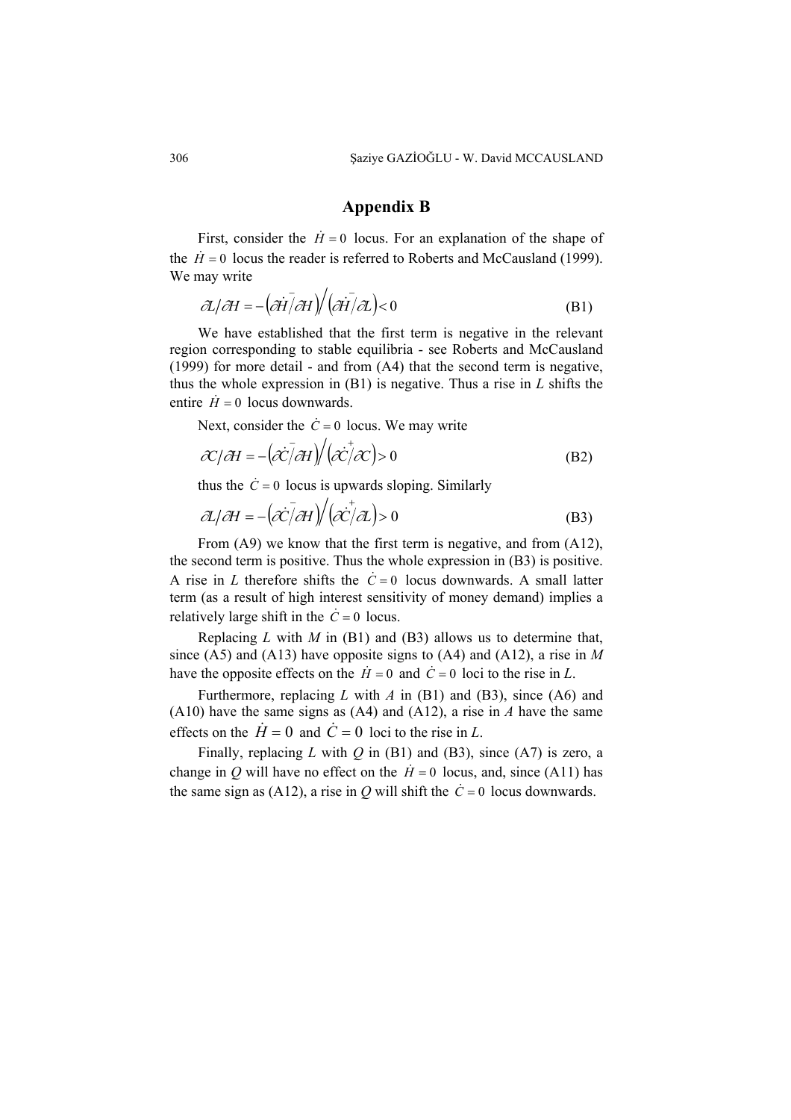# **Appendix B**

First, consider the  $\dot{H} = 0$  locus. For an explanation of the shape of the  $\dot{H} = 0$  locus the reader is referred to Roberts and McCausland (1999). We may write

$$
\partial \mathcal{L}/\partial H = -\left(\partial \dot{H}\right) \partial H \right) / \left(\partial \dot{H}\right) \partial \mathcal{L} < 0
$$
 (B1)

We have established that the first term is negative in the relevant region corresponding to stable equilibria - see Roberts and McCausland (1999) for more detail - and from (A4) that the second term is negative, thus the whole expression in (B1) is negative. Thus a rise in *L* shifts the entire  $\dot{H} = 0$  locus downwards.

Next, consider the  $\dot{C} = 0$  locus. We may write

$$
\mathcal{X}/\mathcal{A}H = -\left(\mathcal{X}\bar{/\mathcal{A}}H\right) / \left(\mathcal{X}\bar{/\mathcal{X}}\right) > 0
$$
 (B2)

thus the  $\dot{C} = 0$  locus is upwards sloping. Similarly

$$
\partial \mathcal{L}/\partial H = -\left(\partial \dot{\mathcal{C}}/\partial H\right) / \left(\partial \dot{\mathcal{C}}/\partial \mathcal{L}\right) > 0
$$
 (B3)

From (A9) we know that the first term is negative, and from (A12), the second term is positive. Thus the whole expression in (B3) is positive. A rise in *L* therefore shifts the  $\dot{C} = 0$  locus downwards. A small latter term (as a result of high interest sensitivity of money demand) implies a relatively large shift in the  $\dot{C} = 0$  locus.

Replacing *L* with *M* in (B1) and (B3) allows us to determine that, since (A5) and (A13) have opposite signs to (A4) and (A12), a rise in *M* have the opposite effects on the  $H = 0$  and  $C = 0$  loci to the rise in *L*.

Furthermore, replacing *L* with *A* in (B1) and (B3), since (A6) and (A10) have the same signs as (A4) and (A12), a rise in *A* have the same effects on the  $\dot{H} = 0$  and  $\dot{C} = 0$  loci to the rise in *L*.

Finally, replacing *L* with *Q* in (B1) and (B3), since (A7) is zero, a change in *Q* will have no effect on the  $H = 0$  locus, and, since (A11) has the same sign as (A12), a rise in  $Q$  will shift the  $\dot{C} = 0$  locus downwards.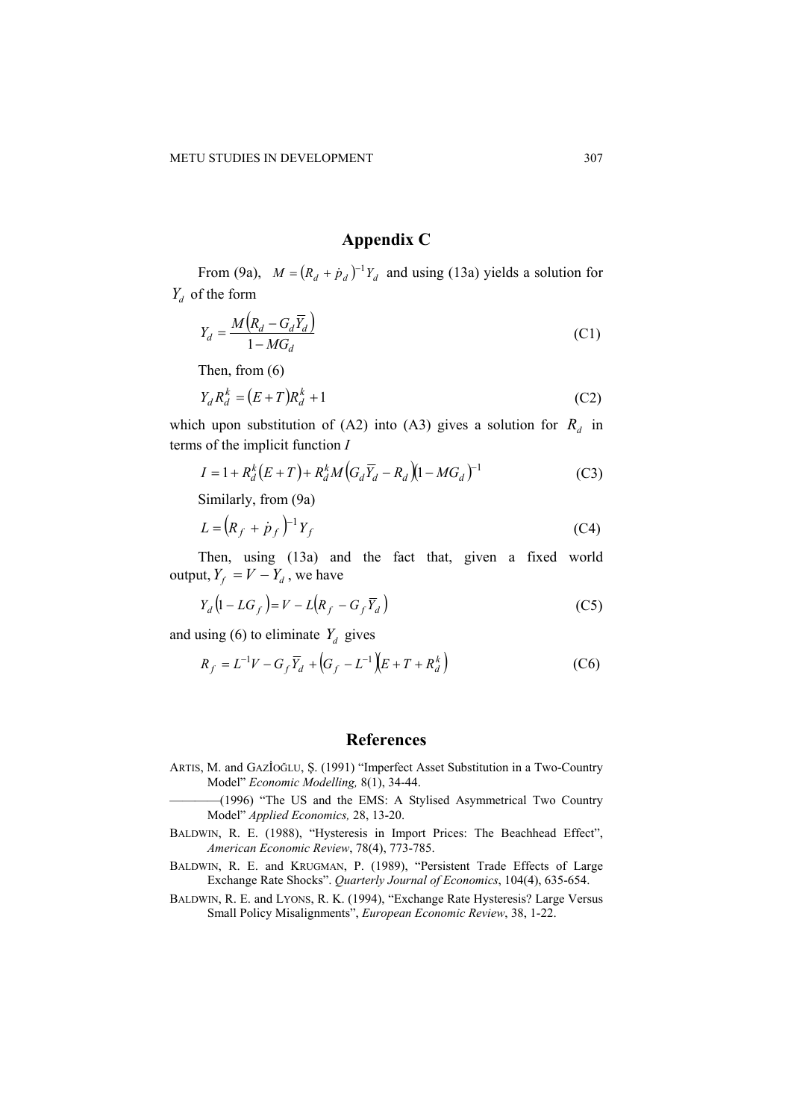# **Appendix C**

From (9a),  $M = (R_d + \dot{p}_d)^{-1} Y_d$  and using (13a) yields a solution for  $Y_d$  of the form

$$
Y_d = \frac{M(R_d - G_d \overline{Y}_d)}{1 - MG_d} \tag{C1}
$$

Then, from (6)

$$
Y_d R_d^k = (E+T)R_d^k + 1\tag{C2}
$$

which upon substitution of (A2) into (A3) gives a solution for  $R_d$  in terms of the implicit function *I* 

$$
I = 1 + R_d^k (E + T) + R_d^k M (G_d \overline{Y}_d - R_d) (1 - M G_d)^{-1}
$$
 (C3)

Similarly, from (9a)

$$
L = \left(R_f + \dot{p}_f\right)^{-1} Y_f \tag{C4}
$$

Then, using (13a) and the fact that, given a fixed world output,  $Y_f = V - Y_d$ , we have

$$
Y_d \left( 1 - LG_f \right) = V - L \left( R_f - G_f \overline{Y}_d \right) \tag{C5}
$$

and using (6) to eliminate  $Y_d$  gives

$$
R_f = L^{-1}V - G_f \overline{Y}_d + (G_f - L^{-1})(E + T + R_d^k)
$$
 (C6)

# **References**

ARTIS, M. and GAZİOĞLU, Ş. (1991) "Imperfect Asset Substitution in a Two-Country Model" *Economic Modelling,* 8(1), 34-44.

————(1996) "The US and the EMS: A Stylised Asymmetrical Two Country Model" *Applied Economics,* 28, 13-20.

- BALDWIN, R. E. (1988), "Hysteresis in Import Prices: The Beachhead Effect", *American Economic Review*, 78(4), 773-785.
- BALDWIN, R. E. and KRUGMAN, P. (1989), "Persistent Trade Effects of Large Exchange Rate Shocks". *Quarterly Journal of Economics*, 104(4), 635-654.
- BALDWIN, R. E. and LYONS, R. K. (1994), "Exchange Rate Hysteresis? Large Versus Small Policy Misalignments", *European Economic Review*, 38, 1-22.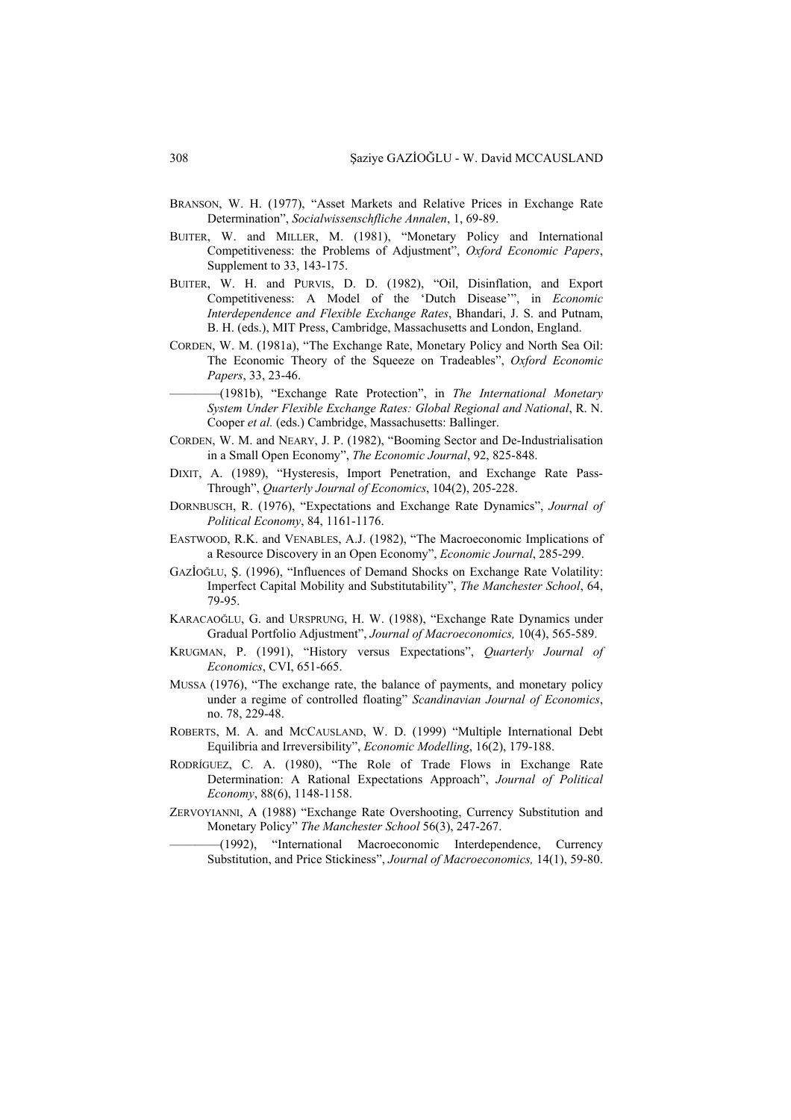- BRANSON, W. H. (1977), "Asset Markets and Relative Prices in Exchange Rate Determination", *Socialwissenschfliche Annalen*, 1, 69-89.
- BUITER, W. and MILLER, M. (1981), "Monetary Policy and International Competitiveness: the Problems of Adjustment", *Oxford Economic Papers*, Supplement to 33, 143-175.
- BUITER, W. H. and PURVIS, D. D. (1982), "Oil, Disinflation, and Export Competitiveness: A Model of the 'Dutch Disease'", in *Economic Interdependence and Flexible Exchange Rates*, Bhandari, J. S. and Putnam, B. H. (eds.), MIT Press, Cambridge, Massachusetts and London, England.
- CORDEN, W. M. (1981a), "The Exchange Rate, Monetary Policy and North Sea Oil: The Economic Theory of the Squeeze on Tradeables", *Oxford Economic Papers*, 33, 23-46.
	- ————(1981b), "Exchange Rate Protection", in *The International Monetary System Under Flexible Exchange Rates: Global Regional and National*, R. N. Cooper *et al.* (eds.) Cambridge, Massachusetts: Ballinger.
- CORDEN, W. M. and NEARY, J. P. (1982), "Booming Sector and De-Industrialisation in a Small Open Economy", *The Economic Journal*, 92, 825-848.
- DIXIT, A. (1989), "Hysteresis, Import Penetration, and Exchange Rate Pass-Through", *Quarterly Journal of Economics*, 104(2), 205-228.
- DORNBUSCH, R. (1976), "Expectations and Exchange Rate Dynamics", *Journal of Political Economy*, 84, 1161-1176.
- EASTWOOD, R.K. and VENABLES, A.J. (1982), "The Macroeconomic Implications of a Resource Discovery in an Open Economy", *Economic Journal*, 285-299.
- GAZİOĞLU, Ş. (1996), "Influences of Demand Shocks on Exchange Rate Volatility: Imperfect Capital Mobility and Substitutability", *The Manchester School*, 64, 79-95.
- KARACAOĞLU, G. and URSPRUNG, H. W. (1988), "Exchange Rate Dynamics under Gradual Portfolio Adjustment", *Journal of Macroeconomics,* 10(4), 565-589.
- KRUGMAN, P. (1991), "History versus Expectations", *Quarterly Journal of Economics*, CVI, 651-665.
- MUSSA (1976), "The exchange rate, the balance of payments, and monetary policy under a regime of controlled floating" *Scandinavian Journal of Economics*, no. 78, 229-48.
- ROBERTS, M. A. and MCCAUSLAND, W. D. (1999) "Multiple International Debt Equilibria and Irreversibility", *Economic Modelling*, 16(2), 179-188.
- RODRÍGUEZ, C. A. (1980), "The Role of Trade Flows in Exchange Rate Determination: A Rational Expectations Approach", *Journal of Political Economy*, 88(6), 1148-1158.
- ZERVOYIANNI, A (1988) "Exchange Rate Overshooting, Currency Substitution and Monetary Policy" *The Manchester School* 56(3), 247-267.

————(1992), "International Macroeconomic Interdependence, Currency Substitution, and Price Stickiness", *Journal of Macroeconomics,* 14(1), 59-80.